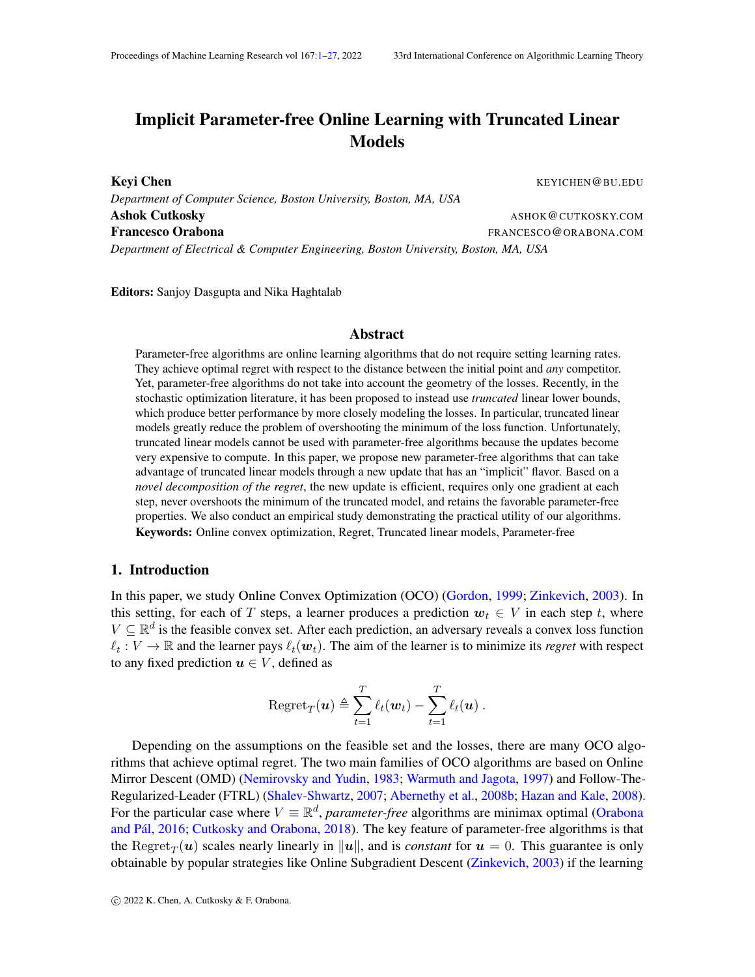# <span id="page-0-0"></span>Implicit Parameter-free Online Learning with Truncated Linear Models

Keyi Chen KEYICHEN GBU.EDU *Department of Computer Science, Boston University, Boston, MA, USA* Ashok Cutkosky and the control of the control of the control of the control of the control of the control of the control of the control of the control of the control of the control of the control of the control of the cont Francesco Orabona **FRANCESCO** ORABONA.COM *Department of Electrical & Computer Engineering, Boston University, Boston, MA, USA*

Editors: Sanjoy Dasgupta and Nika Haghtalab

## Abstract

Parameter-free algorithms are online learning algorithms that do not require setting learning rates. They achieve optimal regret with respect to the distance between the initial point and *any* competitor. Yet, parameter-free algorithms do not take into account the geometry of the losses. Recently, in the stochastic optimization literature, it has been proposed to instead use *truncated* linear lower bounds, which produce better performance by more closely modeling the losses. In particular, truncated linear models greatly reduce the problem of overshooting the minimum of the loss function. Unfortunately, truncated linear models cannot be used with parameter-free algorithms because the updates become very expensive to compute. In this paper, we propose new parameter-free algorithms that can take advantage of truncated linear models through a new update that has an "implicit" flavor. Based on a *novel decomposition of the regret*, the new update is efficient, requires only one gradient at each step, never overshoots the minimum of the truncated model, and retains the favorable parameter-free properties. We also conduct an empirical study demonstrating the practical utility of our algorithms. Keywords: Online convex optimization, Regret, Truncated linear models, Parameter-free

## 1. Introduction

In this paper, we study Online Convex Optimization (OCO) [\(Gordon,](#page-13-0) [1999;](#page-13-0) [Zinkevich,](#page-15-0) [2003\)](#page-15-0). In this setting, for each of T steps, a learner produces a prediction  $w_t \in V$  in each step t, where  $V \subseteq \mathbb{R}^d$  is the feasible convex set. After each prediction, an adversary reveals a convex loss function  $\ell_t: V \to \mathbb{R}$  and the learner pays  $\ell_t(\mathbf{w}_t)$ . The aim of the learner is to minimize its *regret* with respect to any fixed prediction  $u \in V$ , defined as

Regret<sub>T</sub>
$$
(\boldsymbol{u}) \triangleq \sum_{t=1}^T \ell_t(\boldsymbol{w}_t) - \sum_{t=1}^T \ell_t(\boldsymbol{u}).
$$

Depending on the assumptions on the feasible set and the losses, there are many OCO algorithms that achieve optimal regret. The two main families of OCO algorithms are based on Online Mirror Descent (OMD) [\(Nemirovsky and Yudin,](#page-14-0) [1983;](#page-14-0) [Warmuth and Jagota,](#page-15-1) [1997\)](#page-15-1) and Follow-The-Regularized-Leader (FTRL) [\(Shalev-Shwartz,](#page-15-2) [2007;](#page-15-2) [Abernethy et al.,](#page-13-1) [2008b;](#page-13-1) [Hazan and Kale,](#page-14-1) [2008\)](#page-14-1). For the particular case where  $V \equiv \mathbb{R}^d$ , *parameter-free* algorithms are minimax optimal [\(Orabona](#page-15-3) and Pál, [2016;](#page-15-3) [Cutkosky and Orabona,](#page-13-2) [2018\)](#page-13-2). The key feature of parameter-free algorithms is that the  $\text{Regret}_T(\boldsymbol{u})$  scales nearly linearly in  $\|\boldsymbol{u}\|$ , and is *constant* for  $\boldsymbol{u} = 0$ . This guarantee is only obtainable by popular strategies like Online Subgradient Descent [\(Zinkevich,](#page-15-0) [2003\)](#page-15-0) if the learning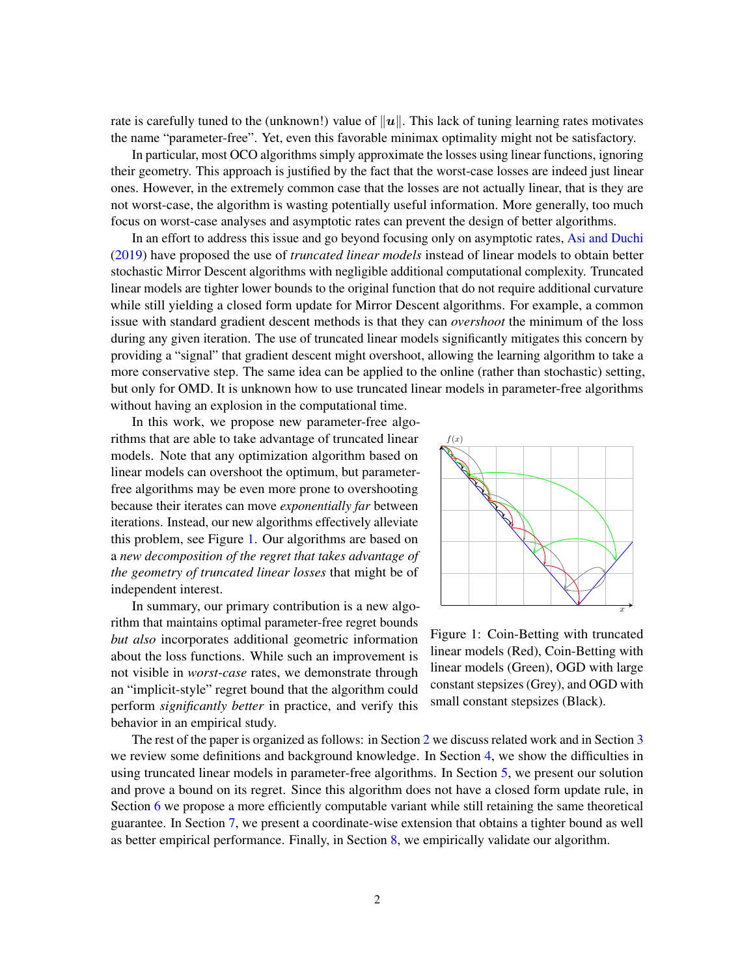rate is carefully tuned to the (unknown!) value of  $||u||$ . This lack of tuning learning rates motivates the name "parameter-free". Yet, even this favorable minimax optimality might not be satisfactory.

In particular, most OCO algorithms simply approximate the losses using linear functions, ignoring their geometry. This approach is justified by the fact that the worst-case losses are indeed just linear ones. However, in the extremely common case that the losses are not actually linear, that is they are not worst-case, the algorithm is wasting potentially useful information. More generally, too much focus on worst-case analyses and asymptotic rates can prevent the design of better algorithms.

In an effort to address this issue and go beyond focusing only on asymptotic rates, [Asi and Duchi](#page-13-3) [\(2019\)](#page-13-3) have proposed the use of *truncated linear models* instead of linear models to obtain better stochastic Mirror Descent algorithms with negligible additional computational complexity. Truncated linear models are tighter lower bounds to the original function that do not require additional curvature while still yielding a closed form update for Mirror Descent algorithms. For example, a common issue with standard gradient descent methods is that they can *overshoot* the minimum of the loss during any given iteration. The use of truncated linear models significantly mitigates this concern by providing a "signal" that gradient descent might overshoot, allowing the learning algorithm to take a more conservative step. The same idea can be applied to the online (rather than stochastic) setting, but only for OMD. It is unknown how to use truncated linear models in parameter-free algorithms without having an explosion in the computational time.

In this work, we propose new parameter-free algorithms that are able to take advantage of truncated linear models. Note that any optimization algorithm based on linear models can overshoot the optimum, but parameterfree algorithms may be even more prone to overshooting because their iterates can move *exponentially far* between iterations. Instead, our new algorithms effectively alleviate this problem, see Figure [1.](#page-1-0) Our algorithms are based on a *new decomposition of the regret that takes advantage of the geometry of truncated linear losses* that might be of independent interest.

In summary, our primary contribution is a new algorithm that maintains optimal parameter-free regret bounds *but also* incorporates additional geometric information about the loss functions. While such an improvement is not visible in *worst-case* rates, we demonstrate through an "implicit-style" regret bound that the algorithm could perform *significantly better* in practice, and verify this behavior in an empirical study.

<span id="page-1-0"></span>

Figure 1: Coin-Betting with truncated linear models (Red), Coin-Betting with linear models (Green), OGD with large constant stepsizes (Grey), and OGD with small constant stepsizes (Black).

The rest of the paper is organized as follows: in Section [2](#page-2-0) we discuss related work and in Section [3](#page-2-1) we review some definitions and background knowledge. In Section [4,](#page-3-0) we show the difficulties in using truncated linear models in parameter-free algorithms. In Section [5,](#page-4-0) we present our solution and prove a bound on its regret. Since this algorithm does not have a closed form update rule, in Section [6](#page-8-0) we propose a more efficiently computable variant while still retaining the same theoretical guarantee. In Section [7,](#page-10-0) we present a coordinate-wise extension that obtains a tighter bound as well as better empirical performance. Finally, in Section [8,](#page-11-0) we empirically validate our algorithm.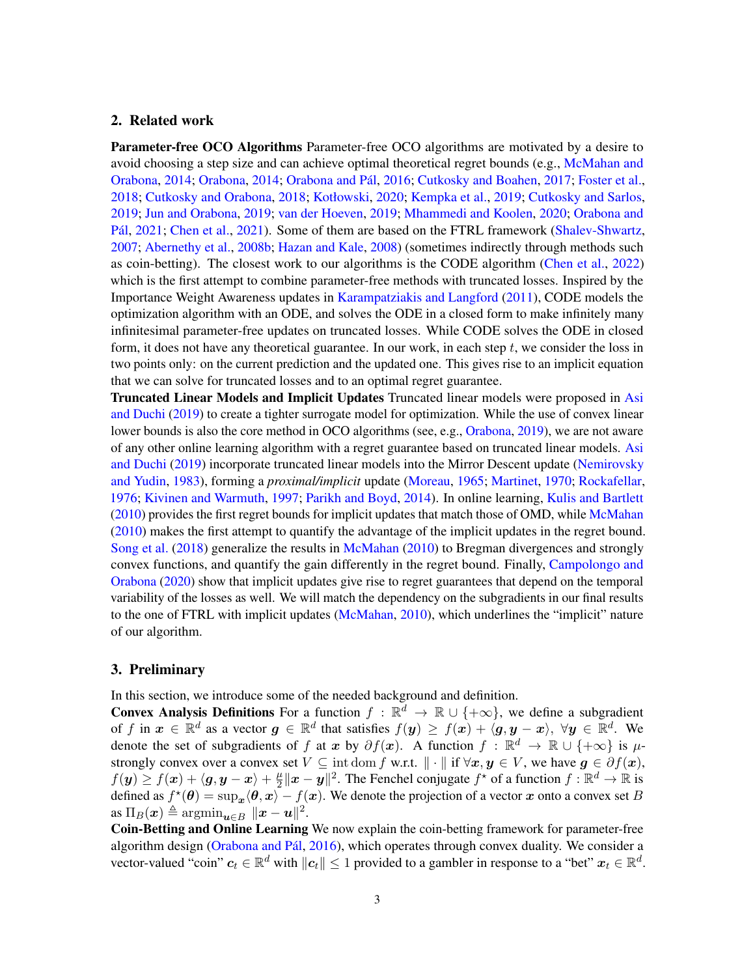# <span id="page-2-0"></span>2. Related work

Parameter-free OCO Algorithms Parameter-free OCO algorithms are motivated by a desire to avoid choosing a step size and can achieve optimal theoretical regret bounds (e.g., [McMahan and](#page-14-2) [Orabona,](#page-14-3) [2014;](#page-14-3) Orabona, 2014; Orabona and Pál, [2016;](#page-15-3) [Cutkosky and Boahen,](#page-13-4) [2017;](#page-13-4) [Foster et al.,](#page-13-5) [2018;](#page-13-5) [Cutkosky and Orabona,](#page-13-2) [2018;](#page-13-2) [Kotłowski,](#page-14-4) [2020;](#page-14-4) [Kempka et al.,](#page-14-5) [2019;](#page-14-5) [Cutkosky and Sarlos,](#page-13-6) [2019;](#page-13-6) [Jun and Orabona,](#page-14-6) [2019;](#page-14-6) [van der Hoeven,](#page-15-4) [2019;](#page-15-4) [Mhammedi and Koolen,](#page-14-7) [2020;](#page-14-7) [Orabona and](#page-15-5) Pál, [2021;](#page-15-5) [Chen et al.,](#page-13-7) [2021\)](#page-13-7). Some of them are based on the FTRL framework [\(Shalev-Shwartz,](#page-15-2) [2007;](#page-15-2) [Abernethy et al.,](#page-13-1) [2008b;](#page-13-1) [Hazan and Kale,](#page-14-1) [2008\)](#page-14-1) (sometimes indirectly through methods such as coin-betting). The closest work to our algorithms is the CODE algorithm [\(Chen et al.,](#page-13-8) [2022\)](#page-13-8) which is the first attempt to combine parameter-free methods with truncated losses. Inspired by the Importance Weight Awareness updates in [Karampatziakis and Langford](#page-14-8) [\(2011\)](#page-14-8), CODE models the optimization algorithm with an ODE, and solves the ODE in a closed form to make infinitely many infinitesimal parameter-free updates on truncated losses. While CODE solves the ODE in closed form, it does not have any theoretical guarantee. In our work, in each step  $t$ , we consider the loss in two points only: on the current prediction and the updated one. This gives rise to an implicit equation that we can solve for truncated losses and to an optimal regret guarantee.

Truncated Linear Models and Implicit Updates Truncated linear models were proposed in [Asi](#page-13-3) [and Duchi](#page-13-3) [\(2019\)](#page-13-3) to create a tighter surrogate model for optimization. While the use of convex linear lower bounds is also the core method in OCO algorithms (see, e.g., [Orabona,](#page-14-9) [2019\)](#page-14-9), we are not aware of any other online learning algorithm with a regret guarantee based on truncated linear models. [Asi](#page-13-3) [and Duchi](#page-13-3) [\(2019\)](#page-13-3) incorporate truncated linear models into the Mirror Descent update [\(Nemirovsky](#page-14-0) [and Yudin,](#page-14-0) [1983\)](#page-14-0), forming a *proximal/implicit* update [\(Moreau,](#page-14-10) [1965;](#page-14-10) [Martinet,](#page-14-11) [1970;](#page-14-11) [Rockafellar,](#page-15-6) [1976;](#page-15-6) [Kivinen and Warmuth,](#page-14-12) [1997;](#page-14-12) [Parikh and Boyd,](#page-15-7) [2014\)](#page-15-7). In online learning, [Kulis and Bartlett](#page-14-13) [\(2010\)](#page-14-13) provides the first regret bounds for implicit updates that match those of OMD, while [McMahan](#page-14-14) [\(2010\)](#page-14-14) makes the first attempt to quantify the advantage of the implicit updates in the regret bound. [Song et al.](#page-15-8) [\(2018\)](#page-15-8) generalize the results in [McMahan](#page-14-14) [\(2010\)](#page-14-14) to Bregman divergences and strongly convex functions, and quantify the gain differently in the regret bound. Finally, [Campolongo and](#page-13-9) [Orabona](#page-13-9) [\(2020\)](#page-13-9) show that implicit updates give rise to regret guarantees that depend on the temporal variability of the losses as well. We will match the dependency on the subgradients in our final results to the one of FTRL with implicit updates [\(McMahan,](#page-14-14) [2010\)](#page-14-14), which underlines the "implicit" nature of our algorithm.

## <span id="page-2-1"></span>3. Preliminary

In this section, we introduce some of the needed background and definition.

**Convex Analysis Definitions** For a function  $f : \mathbb{R}^d \to \mathbb{R} \cup \{+\infty\}$ , we define a subgradient of f in  $x \in \mathbb{R}^d$  as a vector  $g \in \mathbb{R}^d$  that satisfies  $f(y) \geq f(x) + \langle g, y - x \rangle$ ,  $\forall y \in \mathbb{R}^d$ . We denote the set of subgradients of f at x by  $\partial f(x)$ . A function  $f : \mathbb{R}^d \to \mathbb{R} \cup \{+\infty\}$  is  $\mu$ strongly convex over a convex set  $V \subseteq \text{int dom } f \text{ w.r.t. } || \cdot || \text{ if } \forall x, y \in V$ , we have  $g \in \partial f(x)$ ,  $f(\boldsymbol{y}) \geq f(\boldsymbol{x}) + \langle \boldsymbol{g}, \boldsymbol{y} - \boldsymbol{x} \rangle + \frac{\mu}{2}$  $\frac{\mu}{2} \|x - y\|^2$ . The Fenchel conjugate  $f^*$  of a function  $f : \mathbb{R}^d \to \mathbb{R}$  is defined as  $f^{\star}(\theta) = \sup_x \langle \theta, x \rangle - f(x)$ . We denote the projection of a vector x onto a convex set B  $\text{as } \Pi_B(\boldsymbol{x}) \triangleq \text{argmin}_{\boldsymbol{u} \in B} \ \|\boldsymbol{x} - \boldsymbol{u}\|^2.$ 

Coin-Betting and Online Learning We now explain the coin-betting framework for parameter-free algorithm design (Orabona and Pál, [2016\)](#page-15-3), which operates through convex duality. We consider a vector-valued "coin"  $c_t \in \mathbb{R}^d$  with  $||c_t|| \leq 1$  provided to a gambler in response to a "bet"  $x_t \in \mathbb{R}^d$ .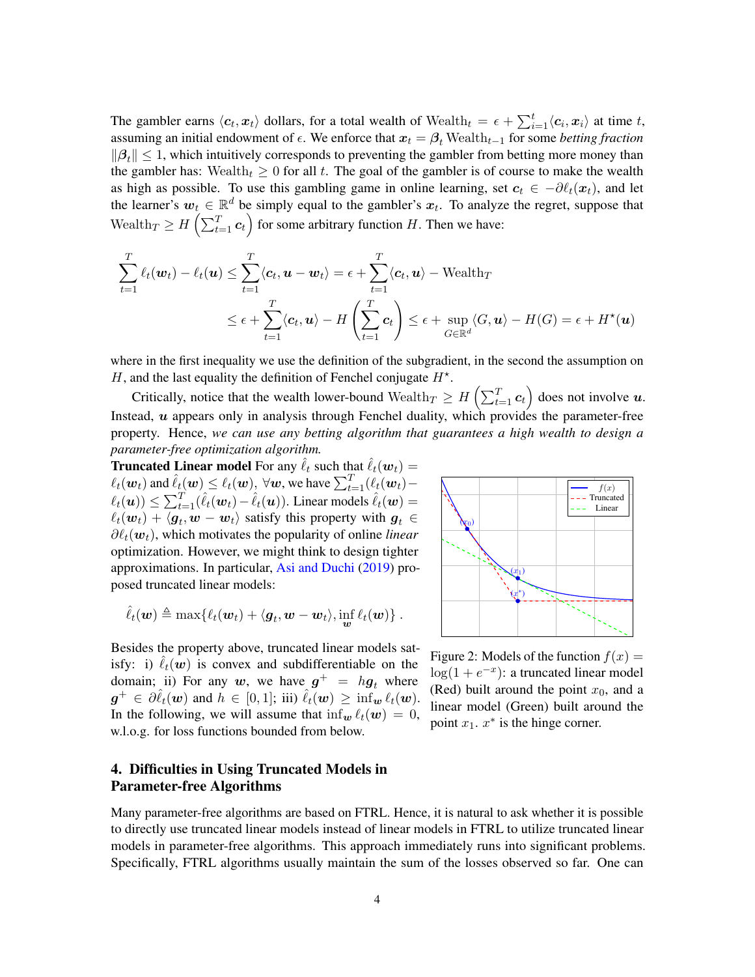The gambler earns  $\langle c_t, x_t \rangle$  dollars, for a total wealth of  $\text{Weak}_t = \epsilon + \sum_{i=1}^t \langle c_i, x_i \rangle$  at time t, assuming an initial endowment of  $\epsilon$ . We enforce that  $x_t = \beta_t$  Wealth<sub>t−1</sub> for some *betting fraction*  $\|\beta_t\| \leq 1$ , which intuitively corresponds to preventing the gambler from betting more money than the gambler has: Wealth $t \geq 0$  for all t. The goal of the gambler is of course to make the wealth as high as possible. To use this gambling game in online learning, set  $c_t \in -\partial \ell_t(x_t)$ , and let the learner's  $w_t \in \mathbb{R}^d$  be simply equal to the gambler's  $x_t$ . To analyze the regret, suppose that Wealth $T \geq H\left(\sum_{t=1}^{T} c_t\right)$  for some arbitrary function H. Then we have:

$$
\sum_{t=1}^{T} \ell_t(\boldsymbol{w}_t) - \ell_t(\boldsymbol{u}) \leq \sum_{t=1}^{T} \langle c_t, \boldsymbol{u} - \boldsymbol{w}_t \rangle = \epsilon + \sum_{t=1}^{T} \langle c_t, \boldsymbol{u} \rangle - \text{Weakh}_T
$$
\n
$$
\leq \epsilon + \sum_{t=1}^{T} \langle c_t, \boldsymbol{u} \rangle - H\left(\sum_{t=1}^{T} c_t\right) \leq \epsilon + \sup_{G \in \mathbb{R}^d} \langle G, \boldsymbol{u} \rangle - H(G) = \epsilon + H^*(\boldsymbol{u})
$$

where in the first inequality we use the definition of the subgradient, in the second the assumption on H, and the last equality the definition of Fenchel conjugate  $H^*$ .

Critically, notice that the wealth lower-bound Wealth $_T \geq H\left(\sum_{t=1}^T \mathbf{c}_t\right)$  does not involve  $\boldsymbol{u}$ . Instead,  $u$  appears only in analysis through Fenchel duality, which provides the parameter-free property. Hence, *we can use any betting algorithm that guarantees a high wealth to design a parameter-free optimization algorithm.*

**Truncated Linear model** For any  $\ell_t$  such that  $\ell_t(\boldsymbol{w}_t) =$  $\ell_t(\boldsymbol{w}_t)$  and  $\hat{\ell}_t(\boldsymbol{w}) \leq \ell_t(\boldsymbol{w}), \ \forall \boldsymbol{w},$  we have  $\sum_{t=1}^T (\ell_t(\boldsymbol{w}_t) \ell_t(\boldsymbol{u}) \leq \sum_{t=1}^T (\hat{\ell}_t(\boldsymbol{w}_t) - \hat{\ell}_t(\boldsymbol{u}))$ . Linear models  $\hat{\ell}_t(\boldsymbol{w}) =$  $\ell_t(\bm{w}_t) + \langle \bm{g}_t, \bm{w} - \bm{w}_t \rangle$  satisfy this property with  $\bm{g}_t \in$  $\partial \ell_t(\boldsymbol{w}_t)$ , which motivates the popularity of online *linear* optimization. However, we might think to design tighter approximations. In particular, [Asi and Duchi](#page-13-3) [\(2019\)](#page-13-3) proposed truncated linear models:

$$
\hat{\ell}_t(\boldsymbol{w}) \triangleq \max\{\ell_t(\boldsymbol{w}_t) + \langle \boldsymbol{g}_t, \boldsymbol{w} - \boldsymbol{w}_t \rangle, \inf_{\boldsymbol{w}} \ell_t(\boldsymbol{w})\}.
$$

Besides the property above, truncated linear models satisfy: i)  $\ell_t(w)$  is convex and subdifferentiable on the domain; ii) For any w, we have  $g^+ = hg_t$  where  $\boldsymbol{g}^+ \in \partial \hat{\ell}_t(\boldsymbol{w})$  and  $h \in [0,1];$  iii)  $\hat{\ell}_t(\boldsymbol{w}) \geq \inf_{\boldsymbol{w}} \ell_t(\boldsymbol{w})$ . In the following, we will assume that  $\inf_{w} \ell_t(w) = 0$ , w.l.o.g. for loss functions bounded from below.



Figure 2: Models of the function  $f(x) =$  $log(1 + e^{-x})$ : a truncated linear model (Red) built around the point  $x_0$ , and a linear model (Green) built around the point  $x_1$ .  $x^*$  is the hinge corner.

# <span id="page-3-0"></span>4. Difficulties in Using Truncated Models in Parameter-free Algorithms

Many parameter-free algorithms are based on FTRL. Hence, it is natural to ask whether it is possible to directly use truncated linear models instead of linear models in FTRL to utilize truncated linear models in parameter-free algorithms. This approach immediately runs into significant problems. Specifically, FTRL algorithms usually maintain the sum of the losses observed so far. One can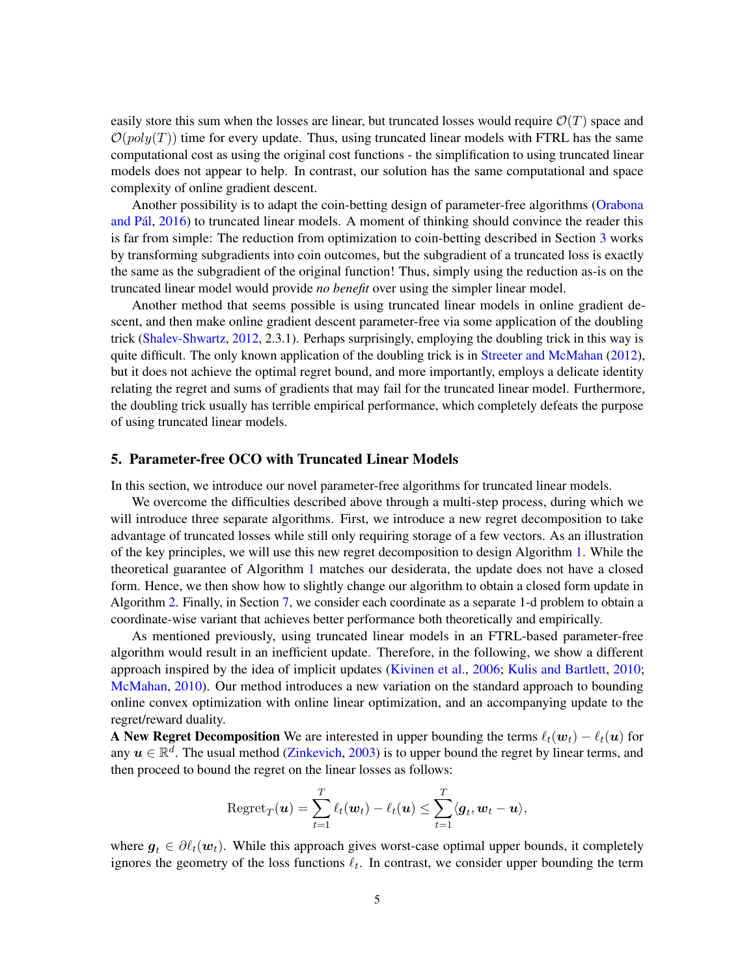easily store this sum when the losses are linear, but truncated losses would require  $\mathcal{O}(T)$  space and  $\mathcal{O}(poly(T))$  time for every update. Thus, using truncated linear models with FTRL has the same computational cost as using the original cost functions - the simplification to using truncated linear models does not appear to help. In contrast, our solution has the same computational and space complexity of online gradient descent.

Another possibility is to adapt the coin-betting design of parameter-free algorithms [\(Orabona](#page-15-3) and Pál, [2016\)](#page-15-3) to truncated linear models. A moment of thinking should convince the reader this is far from simple: The reduction from optimization to coin-betting described in Section [3](#page-2-1) works by transforming subgradients into coin outcomes, but the subgradient of a truncated loss is exactly the same as the subgradient of the original function! Thus, simply using the reduction as-is on the truncated linear model would provide *no benefit* over using the simpler linear model.

Another method that seems possible is using truncated linear models in online gradient descent, and then make online gradient descent parameter-free via some application of the doubling trick [\(Shalev-Shwartz,](#page-15-9) [2012,](#page-15-9) 2.3.1). Perhaps surprisingly, employing the doubling trick in this way is quite difficult. The only known application of the doubling trick is in [Streeter and McMahan](#page-15-10) [\(2012\)](#page-15-10), but it does not achieve the optimal regret bound, and more importantly, employs a delicate identity relating the regret and sums of gradients that may fail for the truncated linear model. Furthermore, the doubling trick usually has terrible empirical performance, which completely defeats the purpose of using truncated linear models.

#### <span id="page-4-0"></span>5. Parameter-free OCO with Truncated Linear Models

In this section, we introduce our novel parameter-free algorithms for truncated linear models.

We overcome the difficulties described above through a multi-step process, during which we will introduce three separate algorithms. First, we introduce a new regret decomposition to take advantage of truncated losses while still only requiring storage of a few vectors. As an illustration of the key principles, we will use this new regret decomposition to design Algorithm [1.](#page-5-0) While the theoretical guarantee of Algorithm [1](#page-5-0) matches our desiderata, the update does not have a closed form. Hence, we then show how to slightly change our algorithm to obtain a closed form update in Algorithm [2.](#page-8-1) Finally, in Section [7,](#page-10-0) we consider each coordinate as a separate 1-d problem to obtain a coordinate-wise variant that achieves better performance both theoretically and empirically.

As mentioned previously, using truncated linear models in an FTRL-based parameter-free algorithm would result in an inefficient update. Therefore, in the following, we show a different approach inspired by the idea of implicit updates [\(Kivinen et al.,](#page-14-15) [2006;](#page-14-15) [Kulis and Bartlett,](#page-14-13) [2010;](#page-14-13) [McMahan,](#page-14-14) [2010\)](#page-14-14). Our method introduces a new variation on the standard approach to bounding online convex optimization with online linear optimization, and an accompanying update to the regret/reward duality.

A New Regret Decomposition We are interested in upper bounding the terms  $\ell_t(\boldsymbol{w}_t) - \ell_t(\boldsymbol{u})$  for any  $u \in \mathbb{R}^d$ . The usual method [\(Zinkevich,](#page-15-0) [2003\)](#page-15-0) is to upper bound the regret by linear terms, and then proceed to bound the regret on the linear losses as follows:

$$
\mathrm{Regret}_{T}(\boldsymbol{u}) = \sum_{t=1}^{T} \ell_t(\boldsymbol{w}_t) - \ell_t(\boldsymbol{u}) \leq \sum_{t=1}^{T} \langle \boldsymbol{g}_t, \boldsymbol{w}_t - \boldsymbol{u} \rangle,
$$

where  $g_t \in \partial \ell_t(\mathbf{w}_t)$ . While this approach gives worst-case optimal upper bounds, it completely ignores the geometry of the loss functions  $\ell_t$ . In contrast, we consider upper bounding the term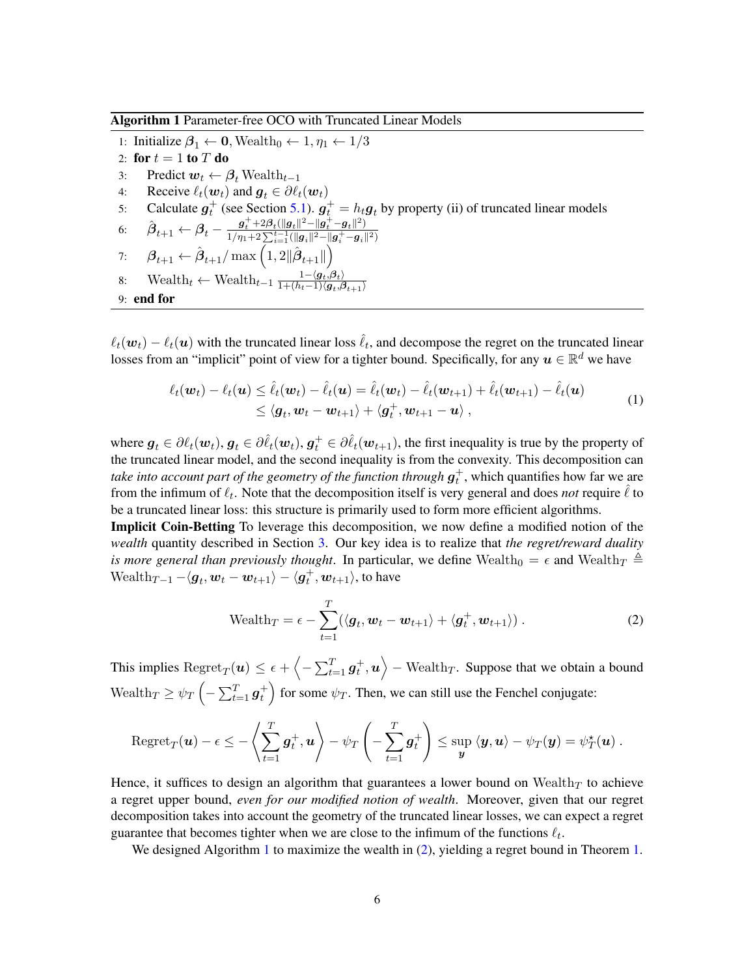<span id="page-5-0"></span>Algorithm 1 Parameter-free OCO with Truncated Linear Models

1: Initialize  $\beta_1 \leftarrow 0$ , Wealth<sub>0</sub>  $\leftarrow 1, \eta_1 \leftarrow 1/3$ 2: for  $t = 1$  to  $T$  do 3: Predict  $w_t \leftarrow \beta_t$  Wealth<sub>t-1</sub> 4: Receive  $\ell_t(\boldsymbol{w}_t)$  and  $\boldsymbol{g}_t \in \partial \ell_t(\boldsymbol{w}_t)$ 5: Calculate  $g_t^+$  (see Section [5.1\)](#page-7-0).  $g_t^+ = h_t g_t$  by property (ii) of truncated linear models 6:  $\hat{\beta}_{t+1} \leftarrow \beta_t - \frac{g_t^+ + 2\beta_t (||g_t||^2 - ||g_t^+ - g_t||^2)}{1/n + 2\sum_{i=1}^t (||g_t||^2 - ||g_t^+ - g_t||^2)}$  $\frac{1}{\eta_1+2}\sum_{i=1}^{t-1}(\|\bm{g}_i\|^2-\|\bm{g}_i^+-\bm{g}_i\|^2)$ 7:  $\beta_{t+1} \leftarrow \hat{\beta}_{t+1}/\max\left(1, 2\|\hat{\boldsymbol{\beta}}_{t+1}\|\right)$ 8: Wealth<sub>t</sub> ← Wealth<sub>t-1</sub>  $\frac{1-\langle g_t, \beta_t \rangle}{1+(h_t-1)\langle g_t, \beta_t \rangle}$  $\overline{1+(h_t-1)\langle\boldsymbol{g}_t,\boldsymbol{\beta}_{t+1}\rangle}$ 9: end for

 $\ell_t(\bm{w}_t) - \ell_t(\bm{u})$  with the truncated linear loss  $\hat{\ell}_t$ , and decompose the regret on the truncated linear losses from an "implicit" point of view for a tighter bound. Specifically, for any  $u \in \mathbb{R}^d$  we have

$$
\ell_t(\boldsymbol{w}_t) - \ell_t(\boldsymbol{u}) \leq \hat{\ell}_t(\boldsymbol{w}_t) - \hat{\ell}_t(\boldsymbol{u}) = \hat{\ell}_t(\boldsymbol{w}_t) - \hat{\ell}_t(\boldsymbol{w}_{t+1}) + \hat{\ell}_t(\boldsymbol{w}_{t+1}) - \hat{\ell}_t(\boldsymbol{u})
$$
\n
$$
\leq \langle \boldsymbol{g}_t, \boldsymbol{w}_t - \boldsymbol{w}_{t+1} \rangle + \langle \boldsymbol{g}_t^+, \boldsymbol{w}_{t+1} - \boldsymbol{u} \rangle ,
$$
\n(1)

where  $g_t \in \partial \ell_t(\omega_t)$ ,  $g_t \in \partial \hat{\ell}_t(\omega_t)$ ,  $g_t^+ \in \partial \hat{\ell}_t(\omega_{t+1})$ , the first inequality is true by the property of the truncated linear model, and the second inequality is from the convexity. This decomposition can *take into account part of the geometry of the function through*  $\boldsymbol{g}^+_t$ *, which quantifies how far we are* from the infimum of  $\ell_t$ . Note that the decomposition itself is very general and does *not* require  $\hat{\ell}$  to be a truncated linear loss: this structure is primarily used to form more efficient algorithms.

Implicit Coin-Betting To leverage this decomposition, we now define a modified notion of the *wealth* quantity described in Section [3.](#page-2-1) Our key idea is to realize that *the regret/reward duality is more general than previously thought*. In particular, we define Wealth<sub>0</sub> =  $\epsilon$  and Wealth<sub>T</sub>  $\triangleq$ Wealth $_{T-1} - \langle \boldsymbol{g}_t, \boldsymbol{w}_t - \boldsymbol{w}_{t+1} \rangle - \langle \boldsymbol{g}_t^{+}, \boldsymbol{w}_{t+1} \rangle$ , to have

<span id="page-5-3"></span><span id="page-5-1"></span>
$$
\text{Weak}_T = \epsilon - \sum_{t=1}^T (\langle \boldsymbol{g}_t, \boldsymbol{w}_t - \boldsymbol{w}_{t+1} \rangle + \langle \boldsymbol{g}_t^+, \boldsymbol{w}_{t+1} \rangle). \tag{2}
$$

This implies  ${\rm Regret}_T({\bm u}) \leq \epsilon + \left\langle -\sum_{t=1}^T {\bm g}_t^+, {\bm u}\right\rangle - {\rm Weakth}_T.$  Suppose that we obtain a bound Wealth $T \ge \psi_T \left(-\sum_{t=1}^T \mathbf{g}_t^+\right)$  for some  $\psi_T$ . Then, we can still use the Fenchel conjugate:

$$
\mathrm{Regret}_T(\boldsymbol{u}) - \epsilon \leq -\left\langle \sum_{t=1}^T \boldsymbol{g}_t^+, \boldsymbol{u} \right\rangle - \psi_T \left( -\sum_{t=1}^T \boldsymbol{g}_t^+ \right) \leq \sup_{\boldsymbol{y}} \left\langle \boldsymbol{y}, \boldsymbol{u} \right\rangle - \psi_T(\boldsymbol{y}) = \psi_T^{\star}(\boldsymbol{u}) \ .
$$

Hence, it suffices to design an algorithm that guarantees a lower bound on Wealth $_T$  to achieve a regret upper bound, *even for our modified notion of wealth*. Moreover, given that our regret decomposition takes into account the geometry of the truncated linear losses, we can expect a regret guarantee that becomes tighter when we are close to the infimum of the functions  $\ell_t$ .

<span id="page-5-2"></span>We designed Algorithm [1](#page-5-0) to maximize the wealth in [\(2\)](#page-5-1), yielding a regret bound in Theorem [1.](#page-5-2)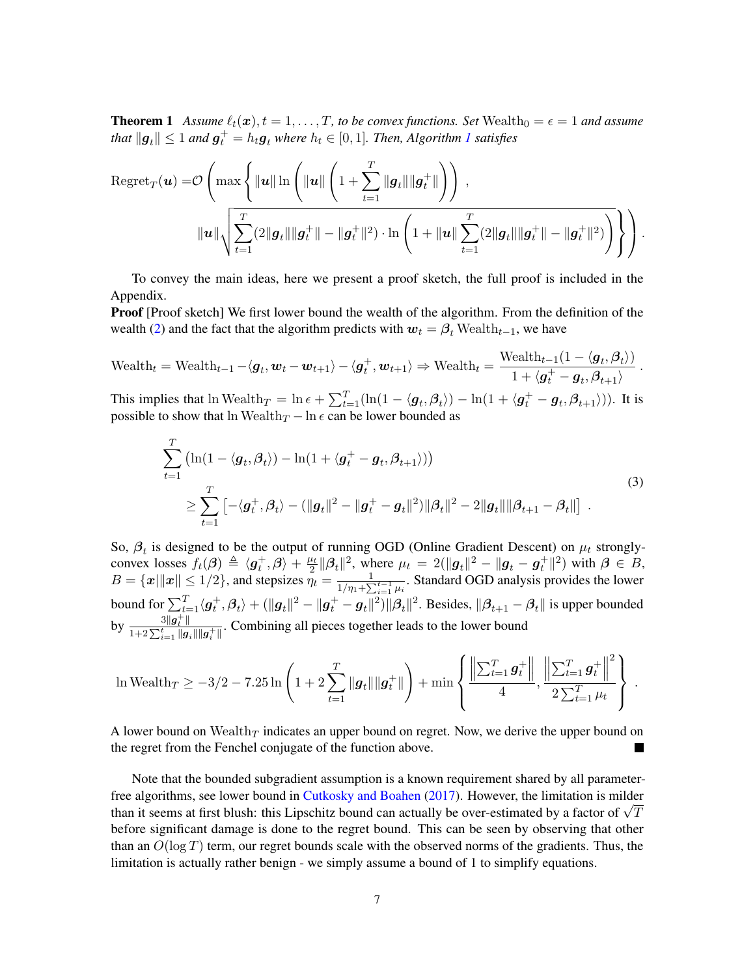**Theorem 1** Assume  $\ell_t(\mathbf{x}), t = 1, \ldots, T$ , to be convex functions. Set Wealth<sub>0</sub> =  $\epsilon$  = 1 and assume that  $\|\bm{g}_t\| \leq 1$  $\|\bm{g}_t\| \leq 1$  and  $\bm{g}_t^+ = h_t\bm{g}_t$  where  $h_t \in [0,1]$ . Then, Algorithm  $I$  satisfies

$$
\text{Regret}_{T}(\boldsymbol{u}) = \mathcal{O}\left(\max\left\{\|\boldsymbol{u}\| \ln \left(\|\boldsymbol{u}\| \left(1 + \sum_{t=1}^{T} \|\boldsymbol{g}_{t}\| \|\boldsymbol{g}_{t}^{+}\| \right)\right)\right),\right.\right.
$$

$$
\|\boldsymbol{u}\| \sqrt{\sum_{t=1}^{T} (2\|\boldsymbol{g}_{t}\| \|\boldsymbol{g}_{t}^{+}\| - \|\boldsymbol{g}_{t}^{+}\|^{2}) \cdot \ln\left(1 + \|\boldsymbol{u}\| \sum_{t=1}^{T} (2\|\boldsymbol{g}_{t}\| \|\boldsymbol{g}_{t}^{+}\| - \|\boldsymbol{g}_{t}^{+}\|^{2})\right)}\right\}\right).
$$

To convey the main ideas, here we present a proof sketch, the full proof is included in the Appendix.

**Proof** [Proof sketch] We first lower bound the wealth of the algorithm. From the definition of the wealth [\(2\)](#page-5-1) and the fact that the algorithm predicts with  $w_t = \beta_t$  Wealth<sub>t−1</sub>, we have

$$
\text{Weak}_t = \text{Weak}_{t-1} - \langle \boldsymbol{g}_t, \boldsymbol{w}_t - \boldsymbol{w}_{t+1} \rangle - \langle \boldsymbol{g}_t^+, \boldsymbol{w}_{t+1} \rangle \Rightarrow \text{Weak}_t = \frac{\text{Weak}_{t-1}(1 - \langle \boldsymbol{g}_t, \boldsymbol{\beta}_t \rangle)}{1 + \langle \boldsymbol{g}_t^+ - \boldsymbol{g}_t, \boldsymbol{\beta}_{t+1} \rangle}.
$$

This implies that  $\ln \text{Weak}_T = \ln \epsilon + \sum_{t=1}^T (\ln(1 - \langle \boldsymbol{g}_t, \boldsymbol{\beta}_t \rangle) - \ln(1 + \langle \boldsymbol{g}_t^+ - \boldsymbol{g}_t, \boldsymbol{\beta}_{t+1} \rangle)).$  It is possible to show that ln Wealth $_T$  – ln  $\epsilon$  can be lower bounded as

<span id="page-6-0"></span>
$$
\sum_{t=1}^{T} (\ln(1 - \langle \mathbf{g}_t, \beta_t \rangle) - \ln(1 + \langle \mathbf{g}_t^+ - \mathbf{g}_t, \beta_{t+1} \rangle))
$$
\n
$$
\geq \sum_{t=1}^{T} \left[ -\langle \mathbf{g}_t^+, \beta_t \rangle - (\|\mathbf{g}_t\|^2 - \|\mathbf{g}_t^+ - \mathbf{g}_t\|^2) \|\beta_t\|^2 - 2\|\mathbf{g}_t\| \|\beta_{t+1} - \beta_t\| \right].
$$
\n(3)

So,  $\beta_t$  is designed to be the output of running OGD (Online Gradient Descent) on  $\mu_t$  stronglyconvex losses  $f_t(\boldsymbol{\beta}) \triangleq \langle \boldsymbol{g}_t^+, \boldsymbol{\beta} \rangle + \frac{\mu_t}{2}$  $\frac{\mu_t}{2} ||\beta_t||^2$ , where  $\mu_t = 2(||g_t||^2 - ||g_t - g_t^+||^2)$  with  $\beta \in B$ ,  $B = \{x \mid ||x|| \leq 1/2\}$ , and stepsizes  $\eta_t = \frac{1}{1/n}$  $\frac{1}{1/\eta_1 + \sum_{i=1}^{t-1} \mu_i}$ . Standard OGD analysis provides the lower bound for  $\sum_{t=1}^T\langle\bm{g}_t^+,\bm{\beta}_t\rangle+(\|\bm{g}_t\|^2-\|\bm{g}_t^+-\bm{g}_t\|^2)\|\bm{\beta}_t\|^2.$  Besides,  $\|\bm{\beta}_{t+1}-\bm{\beta}_t\|$  is upper bounded by  $\frac{3||g_t^+||}{1+2\sum_{t=1}^t$  $\frac{\partial ||\bm{g}_t||}{1+2\sum_{i=1}^t ||\bm{g}_i|| ||\bm{g}_i^+||}$ . Combining all pieces together leads to the lower bound

$$
\ln \text{Weakh}_T \ge -3/2 - 7.25 \ln \left( 1 + 2 \sum_{t=1}^T ||g_t|| ||g_t^+|| \right) + \min \left\{ \frac{\left\| \sum_{t=1}^T g_t^+ \right\|}{4}, \frac{\left\| \sum_{t=1}^T g_t^+ \right\|^2}{2 \sum_{t=1}^T \mu_t} \right\}.
$$

A lower bound on Wealth $_T$  indicates an upper bound on regret. Now, we derive the upper bound on the regret from the Fenchel conjugate of the function above.

Note that the bounded subgradient assumption is a known requirement shared by all parameterfree algorithms, see lower bound in [Cutkosky and Boahen](#page-13-4) [\(2017\)](#page-13-4). However, the limitation is milder The algorithms, see lower bound in Cutkosky and Boanen (2017). However, the filmulation is milder than it seems at first blush: this Lipschitz bound can actually be over-estimated by a factor of  $\sqrt{T}$ before significant damage is done to the regret bound. This can be seen by observing that other than an  $O(\log T)$  term, our regret bounds scale with the observed norms of the gradients. Thus, the limitation is actually rather benign - we simply assume a bound of 1 to simplify equations.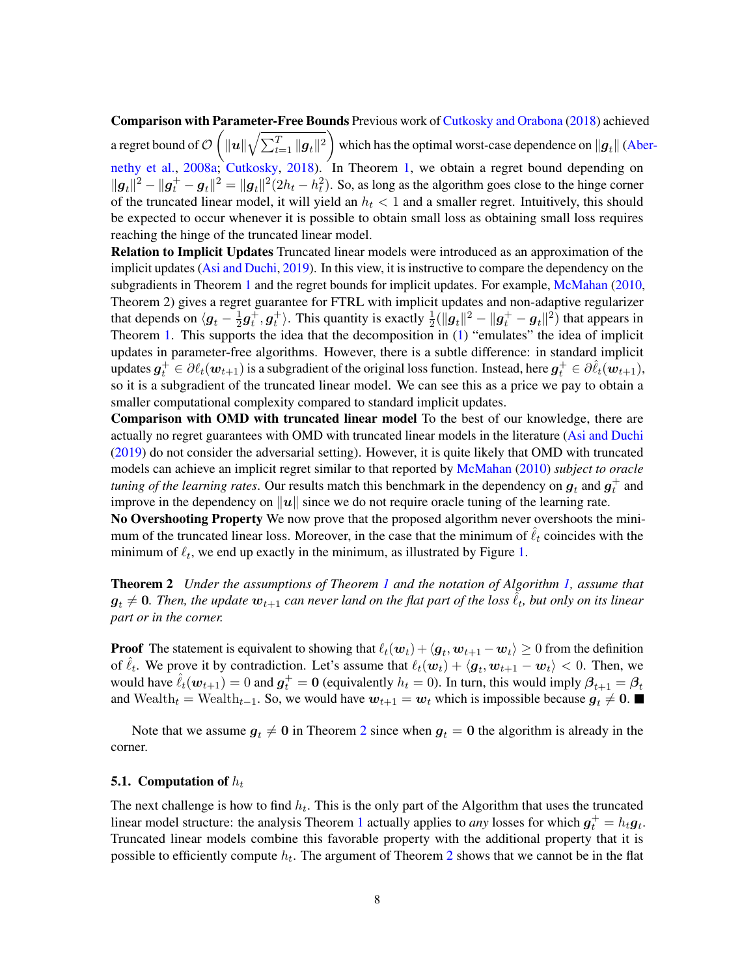Comparison with Parameter-Free Bounds Previous work of [Cutkosky and Orabona](#page-13-2) [\(2018\)](#page-13-2) achieved a regret bound of  $\mathcal{O}\left(\|\bm{u}\|\sqrt{\sum_{t=1}^T\|\bm{g}_t\|^2}\right)$  which has the optimal worst-case dependence on  $\|\bm{g}_t\|$  [\(Abe](#page-13-10)r[nethy et al.,](#page-13-10) [2008a;](#page-13-10) [Cutkosky,](#page-13-11) [2018\)](#page-13-11). In Theorem [1,](#page-5-2) we obtain a regret bound depending on  $||g_t||^2 - ||g_t||^2 = ||g_t||^2(2h_t - h_t^2)$ . So, as long as the algorithm goes close to the hinge corner of the truncated linear model, it will yield an  $h_t < 1$  and a smaller regret. Intuitively, this should be expected to occur whenever it is possible to obtain small loss as obtaining small loss requires reaching the hinge of the truncated linear model.

Relation to Implicit Updates Truncated linear models were introduced as an approximation of the implicit updates [\(Asi and Duchi,](#page-13-3) [2019\)](#page-13-3). In this view, it is instructive to compare the dependency on the subgradients in Theorem [1](#page-5-2) and the regret bounds for implicit updates. For example, [McMahan](#page-14-14) [\(2010,](#page-14-14) Theorem 2) gives a regret guarantee for FTRL with implicit updates and non-adaptive regularizer that depends on  $\langle \bm{g}_t - \frac{1}{2} \rangle$  $\frac{1}{2}g_t^+, g_t^+$ ). This quantity is exactly  $\frac{1}{2}(\|g_t\|^2 - \|g_t^+ - g_t\|^2)$  that appears in Theorem [1.](#page-5-2) This supports the idea that the decomposition in [\(1\)](#page-5-3) "emulates" the idea of implicit updates in parameter-free algorithms. However, there is a subtle difference: in standard implicit updates  $g_t^+ \in \partial \ell_t(\bm{w}_{t+1})$  is a subgradient of the original loss function. Instead, here  $g_t^+ \in \partial \hat{\ell}_t(\bm{w}_{t+1})$ , so it is a subgradient of the truncated linear model. We can see this as a price we pay to obtain a smaller computational complexity compared to standard implicit updates.

Comparison with OMD with truncated linear model To the best of our knowledge, there are actually no regret guarantees with OMD with truncated linear models in the literature [\(Asi and Duchi](#page-13-3) [\(2019\)](#page-13-3) do not consider the adversarial setting). However, it is quite likely that OMD with truncated models can achieve an implicit regret similar to that reported by [McMahan](#page-14-14) [\(2010\)](#page-14-14) *subject to oracle tuning of the learning rates*. Our results match this benchmark in the dependency on  $\boldsymbol{g}_t$  and  $\boldsymbol{g}_t^+$  and improve in the dependency on  $||u||$  since we do not require oracle tuning of the learning rate.

No Overshooting Property We now prove that the proposed algorithm never overshoots the minimum of the truncated linear loss. Moreover, in the case that the minimum of  $\hat{\ell}_t$  coincides with the minimum of  $\ell_t$ , we end up exactly in the minimum, as illustrated by Figure [1.](#page-1-0)

<span id="page-7-1"></span>Theorem 2 *Under the assumptions of Theorem [1](#page-5-2) and the notation of Algorithm [1,](#page-5-0) assume that*  $\bm{g}_t \neq \bm{0}$ . Then, the update  $\bm{w}_{t+1}$  can never land on the flat part of the loss  $\tilde{\ell}_t$ , but only on its linear *part or in the corner.*

**Proof** The statement is equivalent to showing that  $\ell_t(\bm{w}_t) + \langle \bm{g}_t, \bm{w}_{t+1} - \bm{w}_t \rangle \ge 0$  from the definition of  $\hat{\ell}_t$ . We prove it by contradiction. Let's assume that  $\ell_t(\mathbf{w}_t) + \langle \mathbf{g}_t, \mathbf{w}_{t+1} - \mathbf{w}_t \rangle < 0$ . Then, we would have  $\hat{\ell}_t(\bm{w}_{t+1}) = 0$  and  $\bm{g}_t^+ = \bm{0}$  (equivalently  $h_t = 0$ ). In turn, this would imply  $\beta_{t+1} = \beta_t$ and Wealth<sub>t</sub> = Wealth<sub>t-1</sub>. So, we would have  $w_{t+1} = w_t$  which is impossible because  $g_t \neq 0$ .

Note that we assume  $g_t \neq 0$  in Theorem [2](#page-7-1) since when  $g_t = 0$  the algorithm is already in the corner.

## <span id="page-7-0"></span>**5.1.** Computation of  $h_t$

The next challenge is how to find  $h_t$ . This is the only part of the Algorithm that uses the truncated linear model structure: the analysis Theorem [1](#page-5-2) actually applies to *any* losses for which  $g_t^+ = h_t g_t$ . Truncated linear models combine this favorable property with the additional property that it is possible to efficiently compute  $h_t$ . The argument of Theorem [2](#page-7-1) shows that we cannot be in the flat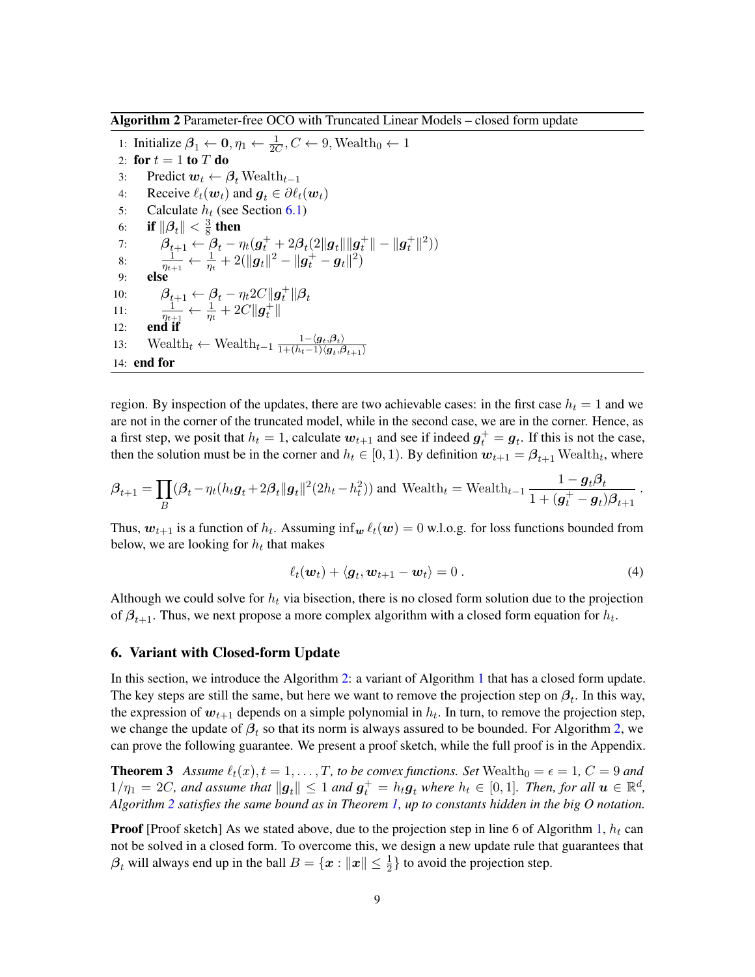<span id="page-8-1"></span>Algorithm 2 Parameter-free OCO with Truncated Linear Models – closed form update

1: Initialize  $\beta_1 \leftarrow 0, \eta_1 \leftarrow \frac{1}{2C}, C \leftarrow 9$ , Wealth<sub>0</sub>  $\leftarrow 1$ 2: for  $t = 1$  to  $T$  do 3: Predict  $w_t \leftarrow \beta_t$  Wealth<sub>t-1</sub> 4: Receive  $\ell_t(\boldsymbol{w}_t)$  and  $\boldsymbol{g}_t \in \partial \ell_t(\boldsymbol{w}_t)$ 5: Calculate  $h_t$  (see Section [6.1\)](#page-9-0) 6: if  $\|\boldsymbol{\beta}_t\| < \frac{3}{8}$  $\frac{3}{8}$  then 7:  $\beta_{t+1} \leftarrow \beta_t - \eta_t(\bm{g}_t^+ + 2\beta_t(2\|\bm{g}_t\|\|\bm{g}_t^+\| - \|\bm{g}_t^+\|^2))$ 8:  $\frac{1}{\eta_{t+1}} \leftarrow \frac{1}{\eta_t} + 2(||g_t||^2 - ||g_t^+ - g_t||^2)$ 9: else 10:  $\beta_{t+1} \leftarrow \beta_t - \eta_t 2C ||g_t^+|| \beta_t$ 11:  $\frac{1}{\eta_{t+1}} \leftarrow \frac{1}{\eta_t} + 2C \|\boldsymbol{g}_t^+\|$  $12:$ 13: Wealth<sub>t</sub> ← Wealth<sub>t-1</sub>  $\frac{1-\langle g_t, \beta_t \rangle}{1+(h_t-1)\langle g_t, \beta_t \rangle}$  $\overline{1+(h_t-1)\langle\boldsymbol{g}_t,\boldsymbol{\beta}_{t+1}\rangle}$ 14: end for

region. By inspection of the updates, there are two achievable cases: in the first case  $h_t = 1$  and we are not in the corner of the truncated model, while in the second case, we are in the corner. Hence, as a first step, we posit that  $h_t = 1$ , calculate  $w_{t+1}$  and see if indeed  $g_t^+ = g_t$ . If this is not the case, then the solution must be in the corner and  $h_t \in [0, 1)$ . By definition  $w_{t+1} = \beta_{t+1}$  Wealth<sub>t</sub>, where

$$
\boldsymbol{\beta}_{t+1} = \prod_B (\boldsymbol{\beta}_t - \eta_t (h_t \boldsymbol{g}_t + 2\boldsymbol{\beta}_t || \boldsymbol{g}_t ||^2 (2h_t - h_t^2)) \text{ and Wealth}_{t+1} = \text{Weak}_{t-1} \frac{1 - \boldsymbol{g}_t \boldsymbol{\beta}_t}{1 + (\boldsymbol{g}_t^+ - \boldsymbol{g}_t) \boldsymbol{\beta}_{t+1}}.
$$

Thus,  $w_{t+1}$  is a function of  $h_t$ . Assuming  $\inf_w \ell_t(w) = 0$  w.l.o.g. for loss functions bounded from below, we are looking for  $h_t$  that makes

<span id="page-8-3"></span><span id="page-8-2"></span>
$$
\ell_t(\boldsymbol{w}_t) + \langle \boldsymbol{g}_t, \boldsymbol{w}_{t+1} - \boldsymbol{w}_t \rangle = 0. \tag{4}
$$

Although we could solve for  $h_t$  via bisection, there is no closed form solution due to the projection of  $\beta_{t+1}$ . Thus, we next propose a more complex algorithm with a closed form equation for  $h_t$ .

### <span id="page-8-0"></span>6. Variant with Closed-form Update

In this section, we introduce the Algorithm [2:](#page-8-1) a variant of Algorithm [1](#page-5-0) that has a closed form update. The key steps are still the same, but here we want to remove the projection step on  $\beta_t$ . In this way, the expression of  $w_{t+1}$  depends on a simple polynomial in  $h_t$ . In turn, to remove the projection step, we change the update of  $\beta_t$  so that its norm is always assured to be bounded. For Algorithm [2,](#page-8-1) we can prove the following guarantee. We present a proof sketch, while the full proof is in the Appendix.

**Theorem 3** Assume  $\ell_t(x)$ ,  $t = 1, \ldots, T$ , to be convex functions. Set Wealth<sub>0</sub> =  $\epsilon = 1$ ,  $C = 9$  and  $1/\eta_1 = 2C$ , and assume that  $\|\bm{g}_t\| \leq 1$  and  $\bm{g}_t^+ = h_t\bm{g}_t$  where  $h_t \in [0,1]$ . Then, for all  $\bm{u} \in \mathbb{R}^d$ , *Algorithm [2](#page-8-1) satisfies the same bound as in Theorem [1,](#page-5-2) up to constants hidden in the big O notation.*

**Proof** [Proof sketch] As we stated above, due to the projection step in line 6 of Algorithm [1,](#page-5-0)  $h_t$  can not be solved in a closed form. To overcome this, we design a new update rule that guarantees that  $\beta_t$  will always end up in the ball  $B = \{x : ||x|| \leq \frac{1}{2}\}$  to avoid the projection step.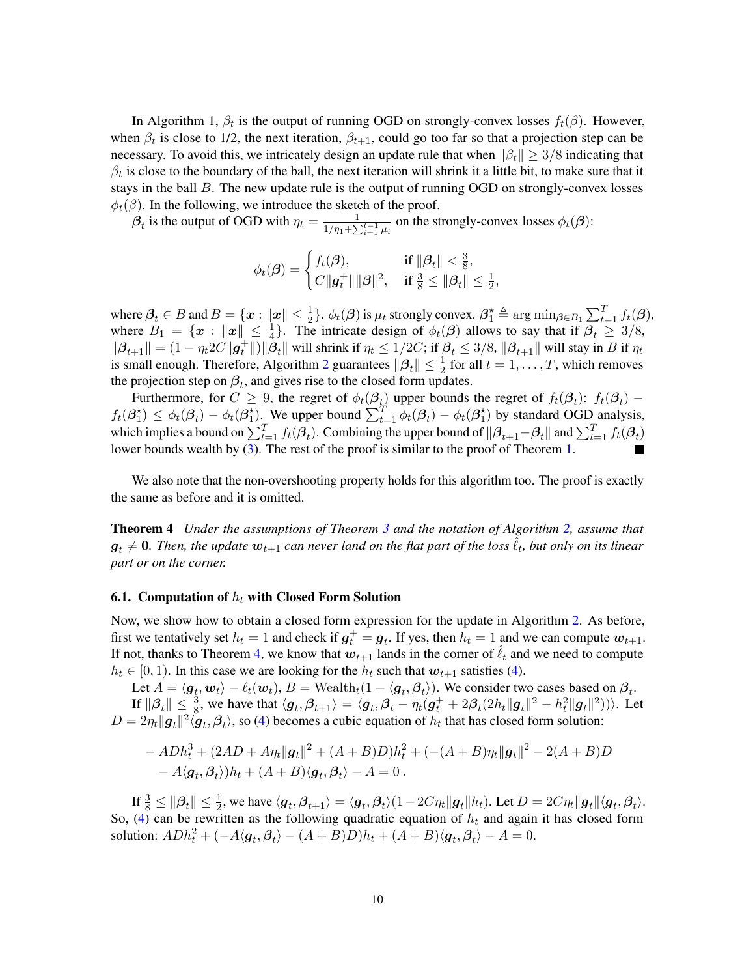In Algorithm 1,  $\beta_t$  is the output of running OGD on strongly-convex losses  $f_t(\beta)$ . However, when  $\beta_t$  is close to 1/2, the next iteration,  $\beta_{t+1}$ , could go too far so that a projection step can be necessary. To avoid this, we intricately design an update rule that when  $\|\beta_t\| \geq 3/8$  indicating that  $\beta_t$  is close to the boundary of the ball, the next iteration will shrink it a little bit, to make sure that it stays in the ball  $B$ . The new update rule is the output of running OGD on strongly-convex losses  $\phi_t(\beta)$ . In the following, we introduce the sketch of the proof.

 $\beta_t$  is the output of OGD with  $\eta_t = \frac{1}{1/n + \sum_{i=1}^{n} n_i}$  $\frac{1}{1/\eta_1 + \sum_{i=1}^{t-1} \mu_i}$  on the strongly-convex losses  $\phi_t(\beta)$ :

$$
\phi_t(\boldsymbol{\beta}) = \begin{cases} f_t(\boldsymbol{\beta}), & \text{if } \|\boldsymbol{\beta}_t\| < \frac{3}{8}, \\ C\|\boldsymbol{g}_t^+\|\|\boldsymbol{\beta}\|^2, & \text{if } \frac{3}{8} \le \|\boldsymbol{\beta}_t\| \le \frac{1}{2}, \end{cases}
$$

where  $\beta_t \in B$  and  $B = \{x : ||x|| \le \frac{1}{2}\}\text{. } \phi_t(\beta)$  is  $\mu_t$  strongly convex.  $\beta_1^{\star} \triangleq \arg \min_{\beta \in B_1} \sum_{t=1}^T f_t(\beta)$ , where  $B_1 = \{x : ||x|| \leq \frac{1}{4}\}$ . The intricate design of  $\phi_t(\beta)$  allows to say that if  $\beta_t \geq 3/8$ ,  $\|\boldsymbol{\beta}_{t+1}\| = (1 - \eta_t 2C\|\boldsymbol{g}_t^+\|) \|\hat{\boldsymbol{\beta}}_t\|$  will shrink if  $\eta_t \le 1/2C$ ; if  $\boldsymbol{\beta}_t \le 3/8$ ,  $\|\boldsymbol{\beta}_{t+1}\|$  will stay in B if  $\eta_t$ is small enough. Therefore, Algorithm [2](#page-8-1) guarantees  $\|\beta_t\| \leq \frac{1}{2}$  for all  $t = 1, \dots, T$ , which removes the projection step on  $\beta_t$ , and gives rise to the closed form updates.

Furthermore, for  $C \ge 9$ , the regret of  $\phi_t(\mathcal{B}_{t_1})$  upper bounds the regret of  $f_t(\mathcal{B}_{t})$ :  $f_t(\mathcal{B}_{t})$  –  $f_t(\beta_1^*) \leq \phi_t(\beta_t) - \phi_t(\beta_1^*)$ . We upper bound  $\sum_{t=1}^T \phi_t(\beta_t) - \phi_t(\beta_1^*)$  by standard OGD analysis, which implies a bound on  $\sum_{t=1}^T f_t(\beta_t)$ . Combining the upper bound of  $\|\beta_{t+1}-\beta_t\|$  and  $\sum_{t=1}^T f_t(\beta_t)$ lower bounds wealth by [\(3\)](#page-6-0). The rest of the proof is similar to the proof of Theorem [1.](#page-5-2)

We also note that the non-overshooting property holds for this algorithm too. The proof is exactly the same as before and it is omitted.

<span id="page-9-1"></span>Theorem 4 *Under the assumptions of Theorem [3](#page-8-2) and the notation of Algorithm [2,](#page-8-1) assume that*  $\bm{g}_t \neq \bm{0}$ . Then, the update  $\bm{w}_{t+1}$  can never land on the flat part of the loss  $\tilde{\ell}_t$ , but only on its linear *part or on the corner.*

#### <span id="page-9-0"></span>6.1. Computation of  $h_t$  with Closed Form Solution

Now, we show how to obtain a closed form expression for the update in Algorithm [2.](#page-8-1) As before, first we tentatively set  $h_t = 1$  and check if  $g_t^+ = g_t$ . If yes, then  $h_t = 1$  and we can compute  $w_{t+1}$ . If not, thanks to Theorem [4,](#page-9-1) we know that  $w_{t+1}$  lands in the corner of  $\ell_t$  and we need to compute  $h_t \in [0, 1)$ . In this case we are looking for the  $h_t$  such that  $w_{t+1}$  satisfies [\(4\)](#page-8-3).

Let  $A = \langle \bm{g}_t, \bm{w}_t \rangle - \ell_t(\bm{w}_t), B = \text{Weak}_t(1 - \langle \bm{g}_t, \bm{\beta}_t \rangle).$  We consider two cases based on  $\bm{\beta}_t$ . If  $\|\beta_t\| \leq \frac{3}{8}$ , we have that  $\langle \mathbf{g}_t, \beta_{t+1} \rangle = \langle \mathbf{g}_t, \beta_t - \eta_t(\mathbf{g}_t^+ + 2\beta_t(2h_t \|\mathbf{g}_t\|^2 - h_t^2 \|\mathbf{g}_t\|^2))\rangle$ . Let  $D = 2\eta_t ||g_t||^2 \langle \mathbf{g}_t, \boldsymbol{\beta}_t \rangle$ , so [\(4\)](#page-8-3) becomes a cubic equation of  $h_t$  that has closed form solution:

$$
- ADh_t^3 + (2AD + A\eta_t ||g_t||^2 + (A + B)D)h_t^2 + (-(A + B)\eta_t ||g_t||^2 - 2(A + B)D - A\langle g_t, \beta_t \rangle)h_t + (A + B)\langle g_t, \beta_t \rangle - A = 0.
$$

If  $\frac{3}{8} \le ||\beta_t|| \le \frac{1}{2}$ , we have  $\langle \mathbf{g}_t, \beta_{t+1} \rangle = \langle \mathbf{g}_t, \beta_t \rangle (1 - 2C\eta_t ||\mathbf{g}_t|| h_t)$ . Let  $D = 2C\eta_t ||\mathbf{g}_t|| \langle \mathbf{g}_t, \beta_t \rangle$ . So, [\(4\)](#page-8-3) can be rewritten as the following quadratic equation of  $h_t$  and again it has closed form solution:  $ADh_t^2 + (-A\langle \mathbf{g}_t, \boldsymbol{\beta}_t \rangle - (A + B)D)h_t + (A + B)\langle \mathbf{g}_t, \boldsymbol{\beta}_t \rangle - A = 0.$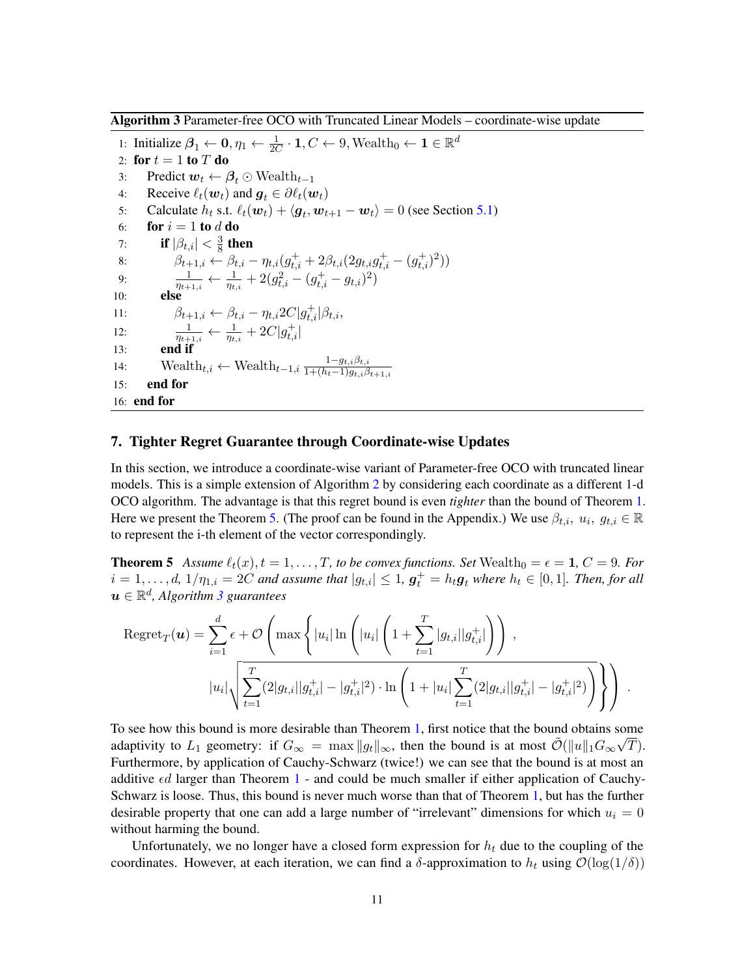<span id="page-10-2"></span>Algorithm 3 Parameter-free OCO with Truncated Linear Models – coordinate-wise update

1: Initialize  $\beta_1 \leftarrow \mathbf{0}, \eta_1 \leftarrow \frac{1}{2C} \cdot \mathbf{1}, C \leftarrow 9$ , Wealth $_0 \leftarrow \mathbf{1} \in \mathbb{R}^d$ 2: for  $t = 1$  to  $T$  do 3: Predict  $w_t \leftarrow \beta_t \odot \text{Weak}_{t-1}$ 4: Receive  $\ell_t(\boldsymbol{w}_t)$  and  $\boldsymbol{g}_t \in \partial \ell_t(\boldsymbol{w}_t)$ 5: Calculate  $h_t$  s.t.  $\ell_t(\boldsymbol{w}_t) + \langle \boldsymbol{g}_t, \boldsymbol{w}_{t+1} - \boldsymbol{w}_t \rangle = 0$  (see Section [5.1\)](#page-7-0) 6: for  $i = 1$  to d do 7: if  $|\beta_{t,i}| < \frac{3}{8}$  then if  $|\beta_{t,i}| < \frac{3}{8}$  then 8:  $\beta_{t+1,i} \leftarrow \beta_{t,i} - \eta_{t,i} (g_{t,i}^+ + 2\beta_{t,i} (2g_{t,i}g_{t,i}^+ - (g_{t,i}^+)^2))$ 9:  $\frac{1}{\eta_{t+1,i}} \leftarrow \frac{1}{\eta_{t,i}} + 2(g_{t,i}^2 - (g_{t,i}^+ - g_{t,i})^2)$ 10: else 11:  $\beta_{t+1,i} \leftarrow \beta_{t,i} - \eta_{t,i} 2C |g_{t,i}^{+}| \beta_{t,i},$ 12:  $\frac{1}{\eta_{t+1,i}} \leftarrow \frac{1}{\eta_{t,i}} + 2C|g_{t,i}^+|$ 13: end if 14: Wealth $t_{t,i} \leftarrow$  Wealth $t_{t-1,i} \frac{1-g_{t,i}\beta_{t,i}}{1+(h_t-1)g_{t,i}\beta_{t,i}}$  $1+(h_t-1)g_{t,i}\beta_{t+1,i}$ 15: end for 16: end for

# <span id="page-10-0"></span>7. Tighter Regret Guarantee through Coordinate-wise Updates

In this section, we introduce a coordinate-wise variant of Parameter-free OCO with truncated linear models. This is a simple extension of Algorithm [2](#page-8-1) by considering each coordinate as a different 1-d OCO algorithm. The advantage is that this regret bound is even *tighter* than the bound of Theorem [1.](#page-5-2) Here we present the Theorem [5.](#page-10-1) (The proof can be found in the Appendix.) We use  $\beta_{t,i}, u_i, g_{t,i} \in \mathbb{R}$ to represent the i-th element of the vector correspondingly.

<span id="page-10-1"></span>**Theorem 5** Assume  $\ell_t(x)$ ,  $t = 1, \ldots, T$ , to be convex functions. Set Wealth<sub>0</sub> =  $\epsilon = 1$ ,  $C = 9$ . For  $i = 1, \ldots, d$ ,  $1/\eta_{1,i} = 2C$  and assume that  $|g_{t,i}| \leq 1$ ,  $\boldsymbol{g}_t^+ = h_t \boldsymbol{g}_t$  where  $h_t \in [0,1]$ . Then, for all  $\boldsymbol{u} \in \mathbb{R}^d$ , Algorithm [3](#page-10-2) guarantees

$$
\text{Regret}_{T}(\boldsymbol{u}) = \sum_{i=1}^{d} \epsilon + \mathcal{O}\left(\max\left\{|u_{i}| \ln\left(|u_{i}| \left(1 + \sum_{t=1}^{T} |g_{t,i}||g_{t,i}^{+}| \right)\right)\right.\right),\right.\left.\left.\left|u_{i}\right|\sqrt{\sum_{t=1}^{T} (2|g_{t,i}||g_{t,i}^{+}| - |g_{t,i}^{+}|^{2}) \cdot \ln\left(1 + |u_{i}| \sum_{t=1}^{T} (2|g_{t,i}||g_{t,i}^{+}| - |g_{t,i}^{+}|^{2})\right)}\right)\right\}.
$$

To see how this bound is more desirable than Theorem [1,](#page-5-2) first notice that the bound obtains some adaptivity to  $L_1$  geometry: if  $G_{\infty} = \max \|g_t\|_{\infty}$ , then the bound is at most  $\tilde{\mathcal{O}}(\|u\|_1G_{\infty}\sqrt{T})$ . Furthermore, by application of Cauchy-Schwarz (twice!) we can see that the bound is at most an additive  $\epsilon d$  larger than Theorem [1](#page-5-2) - and could be much smaller if either application of Cauchy-Schwarz is loose. Thus, this bound is never much worse than that of Theorem [1,](#page-5-2) but has the further desirable property that one can add a large number of "irrelevant" dimensions for which  $u_i = 0$ without harming the bound.

Unfortunately, we no longer have a closed form expression for  $h_t$  due to the coupling of the coordinates. However, at each iteration, we can find a  $\delta$ -approximation to  $h_t$  using  $\mathcal{O}(\log(1/\delta))$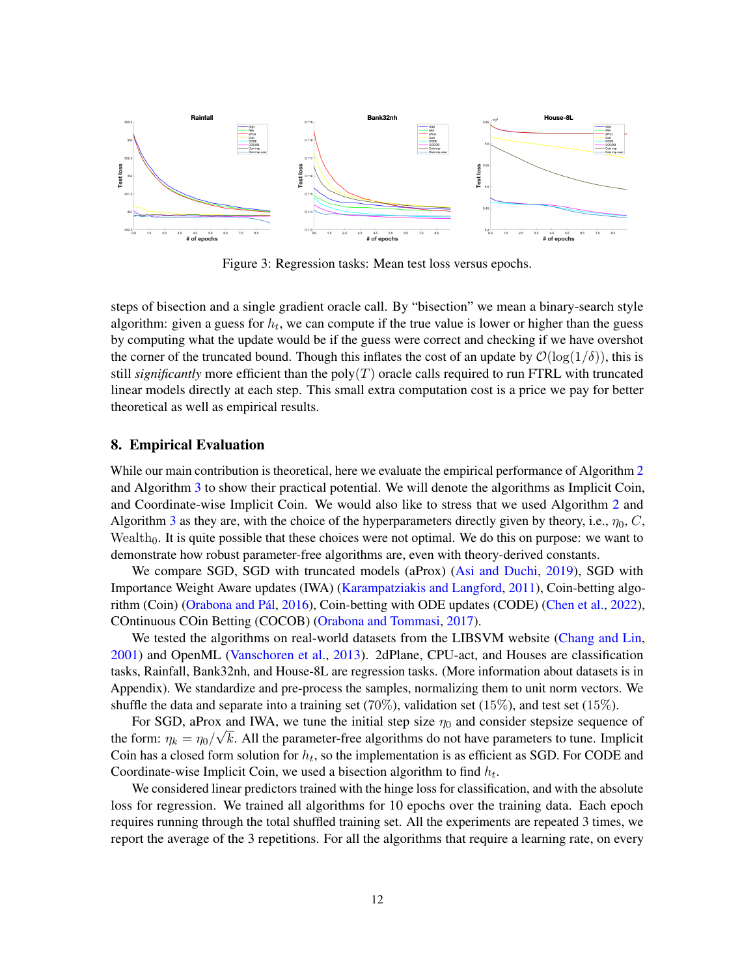<span id="page-11-1"></span>

Figure 3: Regression tasks: Mean test loss versus epochs.

steps of bisection and a single gradient oracle call. By "bisection" we mean a binary-search style algorithm: given a guess for  $h_t$ , we can compute if the true value is lower or higher than the guess by computing what the update would be if the guess were correct and checking if we have overshot the corner of the truncated bound. Though this inflates the cost of an update by  $\mathcal{O}(\log(1/\delta))$ , this is still *significantly* more efficient than the  $poly(T)$  oracle calls required to run FTRL with truncated linear models directly at each step. This small extra computation cost is a price we pay for better theoretical as well as empirical results.

## <span id="page-11-0"></span>8. Empirical Evaluation

While our main contribution is theoretical, here we evaluate the empirical performance of Algorithm [2](#page-8-1) and Algorithm [3](#page-10-2) to show their practical potential. We will denote the algorithms as Implicit Coin, and Coordinate-wise Implicit Coin. We would also like to stress that we used Algorithm [2](#page-8-1) and Algorithm [3](#page-10-2) as they are, with the choice of the hyperparameters directly given by theory, i.e.,  $\eta_0$ , C, Wealth<sub>0</sub>. It is quite possible that these choices were not optimal. We do this on purpose: we want to demonstrate how robust parameter-free algorithms are, even with theory-derived constants.

We compare SGD, SGD with truncated models (aProx) [\(Asi and Duchi,](#page-13-3) [2019\)](#page-13-3), SGD with Importance Weight Aware updates (IWA) [\(Karampatziakis and Langford,](#page-14-8) [2011\)](#page-14-8), Coin-betting algo-rithm (Coin) (Orabona and Pál, [2016\)](#page-15-3), Coin-betting with ODE updates (CODE) [\(Chen et al.,](#page-13-8) [2022\)](#page-13-8), COntinuous COin Betting (COCOB) [\(Orabona and Tommasi,](#page-15-11) [2017\)](#page-15-11).

We tested the algorithms on real-world datasets from the LIBSVM website [\(Chang and Lin,](#page-13-12) [2001\)](#page-13-12) and OpenML [\(Vanschoren et al.,](#page-15-12) [2013\)](#page-15-12). 2dPlane, CPU-act, and Houses are classification tasks, Rainfall, Bank32nh, and House-8L are regression tasks. (More information about datasets is in Appendix). We standardize and pre-process the samples, normalizing them to unit norm vectors. We shuffle the data and separate into a training set (70%), validation set (15%), and test set (15%).

For SGD, aProx and IWA, we tune the initial step size  $\eta_0$  and consider stepsize sequence of the form:  $\eta_k = \eta_0 / \sqrt{k}$ . All the parameter-free algorithms do not have parameters to tune. Implicit Coin has a closed form solution for  $h_t$ , so the implementation is as efficient as SGD. For CODE and Coordinate-wise Implicit Coin, we used a bisection algorithm to find  $h_t$ .

We considered linear predictors trained with the hinge loss for classification, and with the absolute loss for regression. We trained all algorithms for 10 epochs over the training data. Each epoch requires running through the total shuffled training set. All the experiments are repeated 3 times, we report the average of the 3 repetitions. For all the algorithms that require a learning rate, on every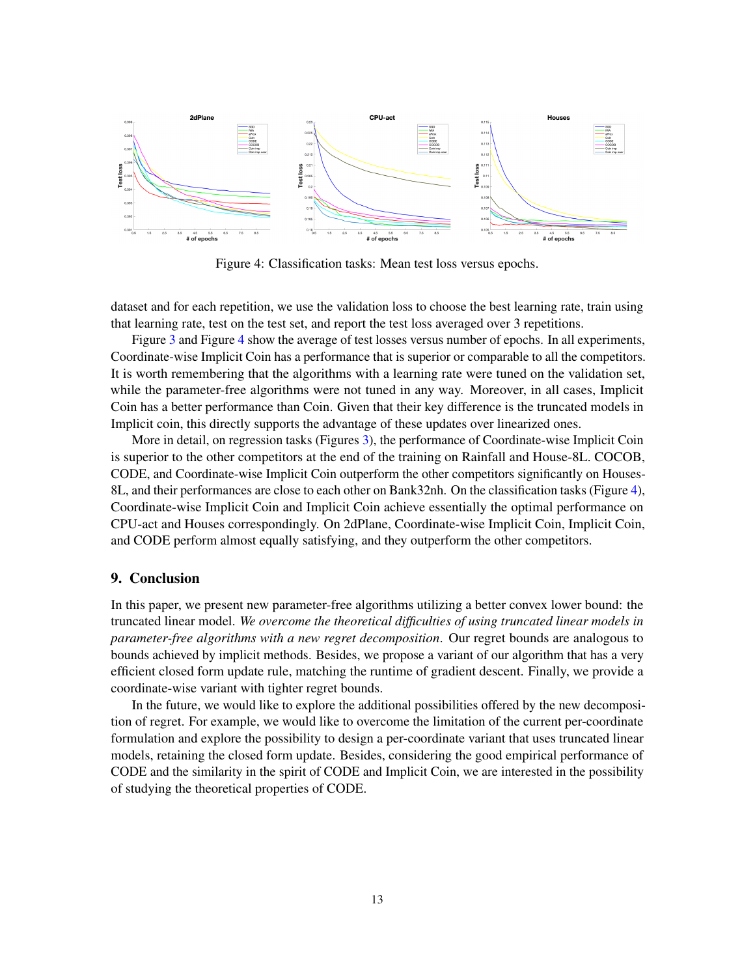<span id="page-12-0"></span>

Figure 4: Classification tasks: Mean test loss versus epochs.

dataset and for each repetition, we use the validation loss to choose the best learning rate, train using that learning rate, test on the test set, and report the test loss averaged over 3 repetitions.

Figure [3](#page-11-1) and Figure [4](#page-12-0) show the average of test losses versus number of epochs. In all experiments, Coordinate-wise Implicit Coin has a performance that is superior or comparable to all the competitors. It is worth remembering that the algorithms with a learning rate were tuned on the validation set, while the parameter-free algorithms were not tuned in any way. Moreover, in all cases, Implicit Coin has a better performance than Coin. Given that their key difference is the truncated models in Implicit coin, this directly supports the advantage of these updates over linearized ones.

More in detail, on regression tasks (Figures [3\)](#page-11-1), the performance of Coordinate-wise Implicit Coin is superior to the other competitors at the end of the training on Rainfall and House-8L. COCOB, CODE, and Coordinate-wise Implicit Coin outperform the other competitors significantly on Houses-8L, and their performances are close to each other on Bank32nh. On the classification tasks (Figure [4\)](#page-12-0), Coordinate-wise Implicit Coin and Implicit Coin achieve essentially the optimal performance on CPU-act and Houses correspondingly. On 2dPlane, Coordinate-wise Implicit Coin, Implicit Coin, and CODE perform almost equally satisfying, and they outperform the other competitors.

# 9. Conclusion

In this paper, we present new parameter-free algorithms utilizing a better convex lower bound: the truncated linear model. *We overcome the theoretical difficulties of using truncated linear models in parameter-free algorithms with a new regret decomposition*. Our regret bounds are analogous to bounds achieved by implicit methods. Besides, we propose a variant of our algorithm that has a very efficient closed form update rule, matching the runtime of gradient descent. Finally, we provide a coordinate-wise variant with tighter regret bounds.

In the future, we would like to explore the additional possibilities offered by the new decomposition of regret. For example, we would like to overcome the limitation of the current per-coordinate formulation and explore the possibility to design a per-coordinate variant that uses truncated linear models, retaining the closed form update. Besides, considering the good empirical performance of CODE and the similarity in the spirit of CODE and Implicit Coin, we are interested in the possibility of studying the theoretical properties of CODE.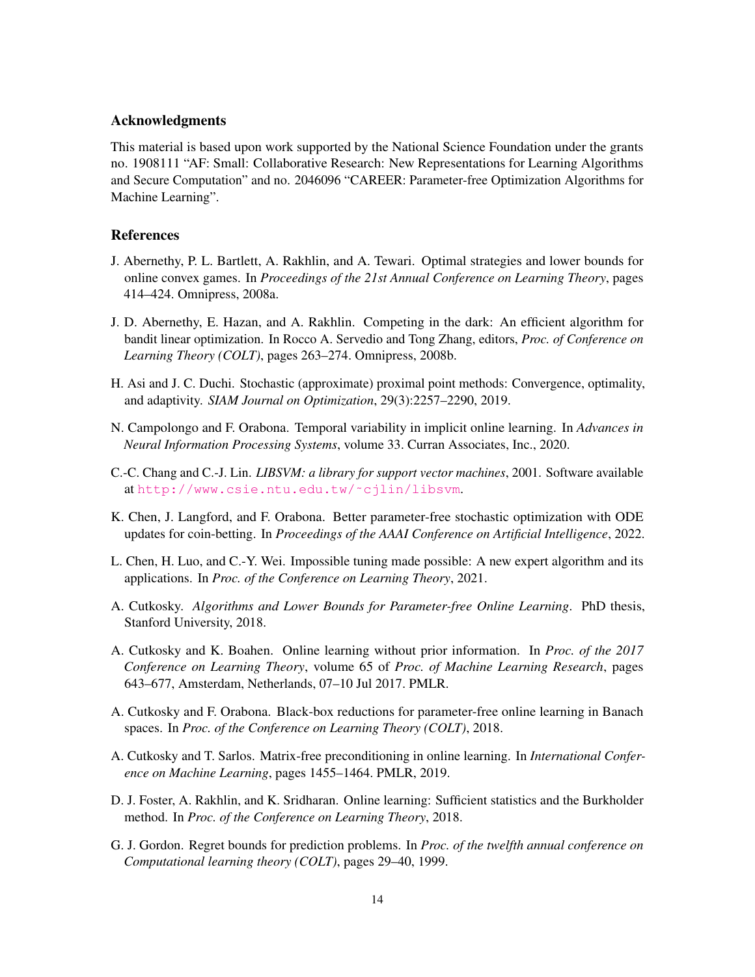# Acknowledgments

This material is based upon work supported by the National Science Foundation under the grants no. 1908111 "AF: Small: Collaborative Research: New Representations for Learning Algorithms and Secure Computation" and no. 2046096 "CAREER: Parameter-free Optimization Algorithms for Machine Learning".

# **References**

- <span id="page-13-10"></span>J. Abernethy, P. L. Bartlett, A. Rakhlin, and A. Tewari. Optimal strategies and lower bounds for online convex games. In *Proceedings of the 21st Annual Conference on Learning Theory*, pages 414–424. Omnipress, 2008a.
- <span id="page-13-1"></span>J. D. Abernethy, E. Hazan, and A. Rakhlin. Competing in the dark: An efficient algorithm for bandit linear optimization. In Rocco A. Servedio and Tong Zhang, editors, *Proc. of Conference on Learning Theory (COLT)*, pages 263–274. Omnipress, 2008b.
- <span id="page-13-3"></span>H. Asi and J. C. Duchi. Stochastic (approximate) proximal point methods: Convergence, optimality, and adaptivity. *SIAM Journal on Optimization*, 29(3):2257–2290, 2019.
- <span id="page-13-9"></span>N. Campolongo and F. Orabona. Temporal variability in implicit online learning. In *Advances in Neural Information Processing Systems*, volume 33. Curran Associates, Inc., 2020.
- <span id="page-13-12"></span>C.-C. Chang and C.-J. Lin. *LIBSVM: a library for support vector machines*, 2001. Software available at [http://www.csie.ntu.edu.tw/˜cjlin/libsvm](http://www.csie.ntu.edu.tw/~cjlin/libsvm).
- <span id="page-13-8"></span>K. Chen, J. Langford, and F. Orabona. Better parameter-free stochastic optimization with ODE updates for coin-betting. In *Proceedings of the AAAI Conference on Artificial Intelligence*, 2022.
- <span id="page-13-7"></span>L. Chen, H. Luo, and C.-Y. Wei. Impossible tuning made possible: A new expert algorithm and its applications. In *Proc. of the Conference on Learning Theory*, 2021.
- <span id="page-13-11"></span>A. Cutkosky. *Algorithms and Lower Bounds for Parameter-free Online Learning*. PhD thesis, Stanford University, 2018.
- <span id="page-13-4"></span>A. Cutkosky and K. Boahen. Online learning without prior information. In *Proc. of the 2017 Conference on Learning Theory*, volume 65 of *Proc. of Machine Learning Research*, pages 643–677, Amsterdam, Netherlands, 07–10 Jul 2017. PMLR.
- <span id="page-13-2"></span>A. Cutkosky and F. Orabona. Black-box reductions for parameter-free online learning in Banach spaces. In *Proc. of the Conference on Learning Theory (COLT)*, 2018.
- <span id="page-13-6"></span>A. Cutkosky and T. Sarlos. Matrix-free preconditioning in online learning. In *International Conference on Machine Learning*, pages 1455–1464. PMLR, 2019.
- <span id="page-13-5"></span>D. J. Foster, A. Rakhlin, and K. Sridharan. Online learning: Sufficient statistics and the Burkholder method. In *Proc. of the Conference on Learning Theory*, 2018.
- <span id="page-13-0"></span>G. J. Gordon. Regret bounds for prediction problems. In *Proc. of the twelfth annual conference on Computational learning theory (COLT)*, pages 29–40, 1999.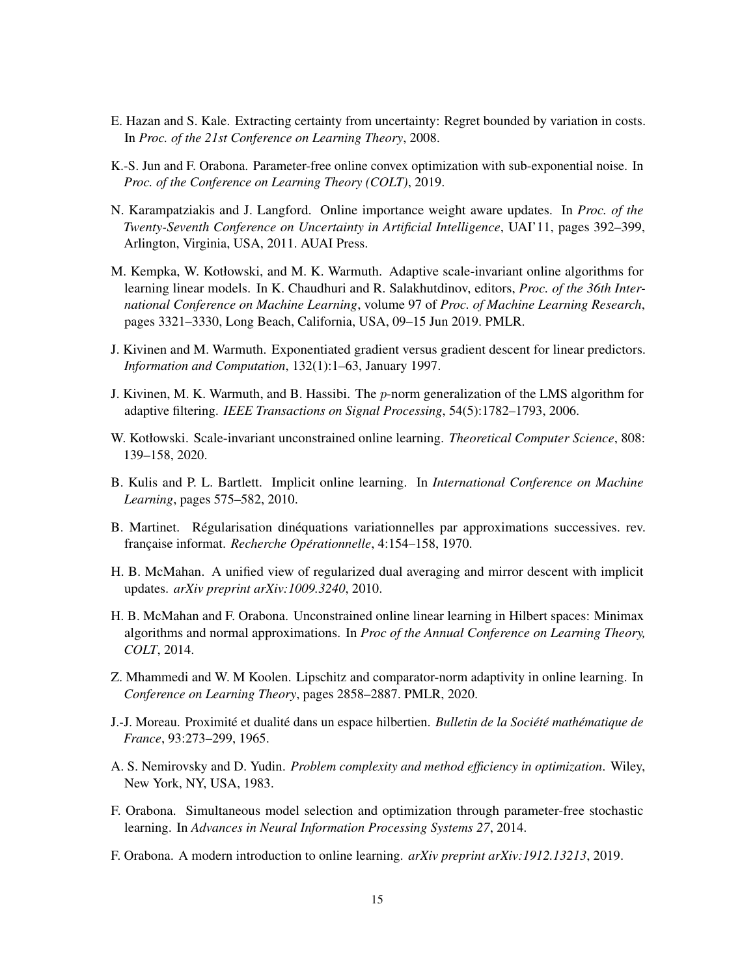- <span id="page-14-1"></span>E. Hazan and S. Kale. Extracting certainty from uncertainty: Regret bounded by variation in costs. In *Proc. of the 21st Conference on Learning Theory*, 2008.
- <span id="page-14-6"></span>K.-S. Jun and F. Orabona. Parameter-free online convex optimization with sub-exponential noise. In *Proc. of the Conference on Learning Theory (COLT)*, 2019.
- <span id="page-14-8"></span>N. Karampatziakis and J. Langford. Online importance weight aware updates. In *Proc. of the Twenty-Seventh Conference on Uncertainty in Artificial Intelligence*, UAI'11, pages 392–399, Arlington, Virginia, USA, 2011. AUAI Press.
- <span id="page-14-5"></span>M. Kempka, W. Kotłowski, and M. K. Warmuth. Adaptive scale-invariant online algorithms for learning linear models. In K. Chaudhuri and R. Salakhutdinov, editors, *Proc. of the 36th International Conference on Machine Learning*, volume 97 of *Proc. of Machine Learning Research*, pages 3321–3330, Long Beach, California, USA, 09–15 Jun 2019. PMLR.
- <span id="page-14-12"></span>J. Kivinen and M. Warmuth. Exponentiated gradient versus gradient descent for linear predictors. *Information and Computation*, 132(1):1–63, January 1997.
- <span id="page-14-15"></span>J. Kivinen, M. K. Warmuth, and B. Hassibi. The  $p$ -norm generalization of the LMS algorithm for adaptive filtering. *IEEE Transactions on Signal Processing*, 54(5):1782–1793, 2006.
- <span id="page-14-4"></span>W. Kotłowski. Scale-invariant unconstrained online learning. *Theoretical Computer Science*, 808: 139–158, 2020.
- <span id="page-14-13"></span>B. Kulis and P. L. Bartlett. Implicit online learning. In *International Conference on Machine Learning*, pages 575–582, 2010.
- <span id="page-14-11"></span>B. Martinet. Régularisation dinéquations variationnelles par approximations successives. rev. française informat. *Recherche Opérationnelle*, 4:154–158, 1970.
- <span id="page-14-14"></span>H. B. McMahan. A unified view of regularized dual averaging and mirror descent with implicit updates. *arXiv preprint arXiv:1009.3240*, 2010.
- <span id="page-14-2"></span>H. B. McMahan and F. Orabona. Unconstrained online linear learning in Hilbert spaces: Minimax algorithms and normal approximations. In *Proc of the Annual Conference on Learning Theory, COLT*, 2014.
- <span id="page-14-7"></span>Z. Mhammedi and W. M Koolen. Lipschitz and comparator-norm adaptivity in online learning. In *Conference on Learning Theory*, pages 2858–2887. PMLR, 2020.
- <span id="page-14-10"></span>**J.-J. Moreau. Proximité et dualité dans un espace hilbertien. Bulletin de la Société mathématique de** *France*, 93:273–299, 1965.
- <span id="page-14-0"></span>A. S. Nemirovsky and D. Yudin. *Problem complexity and method efficiency in optimization*. Wiley, New York, NY, USA, 1983.
- <span id="page-14-3"></span>F. Orabona. Simultaneous model selection and optimization through parameter-free stochastic learning. In *Advances in Neural Information Processing Systems 27*, 2014.
- <span id="page-14-9"></span>F. Orabona. A modern introduction to online learning. *arXiv preprint arXiv:1912.13213*, 2019.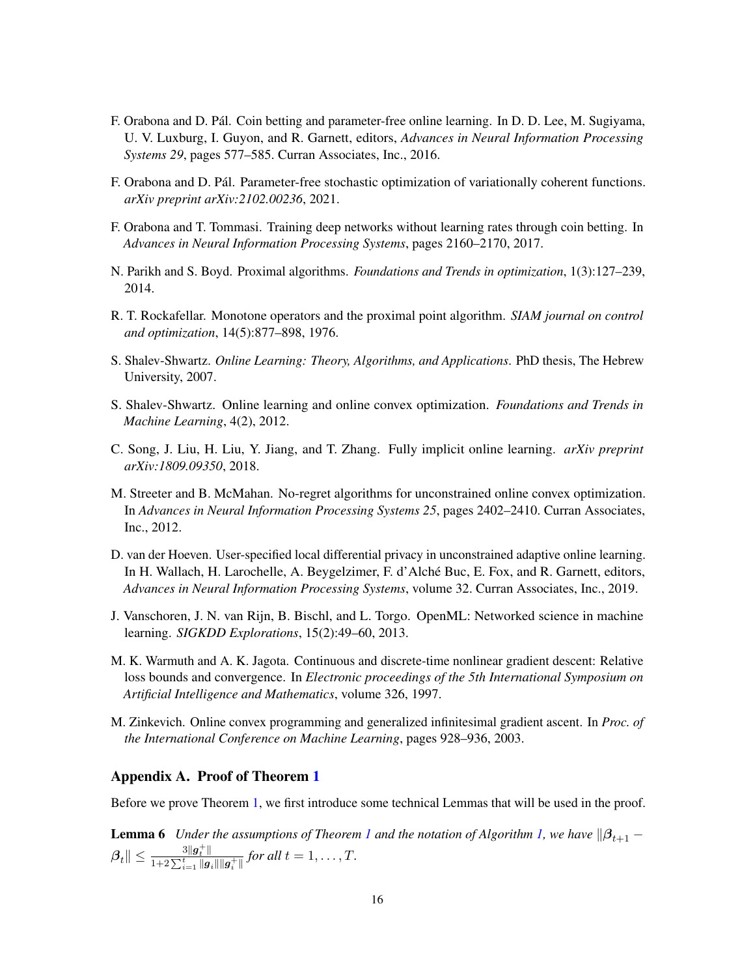- <span id="page-15-3"></span>F. Orabona and D. Pal. Coin betting and parameter-free online learning. In D. D. Lee, M. Sugiyama, ´ U. V. Luxburg, I. Guyon, and R. Garnett, editors, *Advances in Neural Information Processing Systems 29*, pages 577–585. Curran Associates, Inc., 2016.
- <span id="page-15-5"></span>F. Orabona and D. Pal. Parameter-free stochastic optimization of variationally coherent functions. ´ *arXiv preprint arXiv:2102.00236*, 2021.
- <span id="page-15-11"></span>F. Orabona and T. Tommasi. Training deep networks without learning rates through coin betting. In *Advances in Neural Information Processing Systems*, pages 2160–2170, 2017.
- <span id="page-15-7"></span>N. Parikh and S. Boyd. Proximal algorithms. *Foundations and Trends in optimization*, 1(3):127–239, 2014.
- <span id="page-15-6"></span>R. T. Rockafellar. Monotone operators and the proximal point algorithm. *SIAM journal on control and optimization*, 14(5):877–898, 1976.
- <span id="page-15-2"></span>S. Shalev-Shwartz. *Online Learning: Theory, Algorithms, and Applications*. PhD thesis, The Hebrew University, 2007.
- <span id="page-15-9"></span>S. Shalev-Shwartz. Online learning and online convex optimization. *Foundations and Trends in Machine Learning*, 4(2), 2012.
- <span id="page-15-8"></span>C. Song, J. Liu, H. Liu, Y. Jiang, and T. Zhang. Fully implicit online learning. *arXiv preprint arXiv:1809.09350*, 2018.
- <span id="page-15-10"></span>M. Streeter and B. McMahan. No-regret algorithms for unconstrained online convex optimization. In *Advances in Neural Information Processing Systems 25*, pages 2402–2410. Curran Associates, Inc., 2012.
- <span id="page-15-4"></span>D. van der Hoeven. User-specified local differential privacy in unconstrained adaptive online learning. In H. Wallach, H. Larochelle, A. Beygelzimer, F. d'Alche Buc, E. Fox, and R. Garnett, editors, ´ *Advances in Neural Information Processing Systems*, volume 32. Curran Associates, Inc., 2019.
- <span id="page-15-12"></span>J. Vanschoren, J. N. van Rijn, B. Bischl, and L. Torgo. OpenML: Networked science in machine learning. *SIGKDD Explorations*, 15(2):49–60, 2013.
- <span id="page-15-1"></span>M. K. Warmuth and A. K. Jagota. Continuous and discrete-time nonlinear gradient descent: Relative loss bounds and convergence. In *Electronic proceedings of the 5th International Symposium on Artificial Intelligence and Mathematics*, volume 326, 1997.
- <span id="page-15-0"></span>M. Zinkevich. Online convex programming and generalized infinitesimal gradient ascent. In *Proc. of the International Conference on Machine Learning*, pages 928–936, 2003.

## Appendix A. Proof of Theorem [1](#page-5-2)

<span id="page-15-13"></span>Before we prove Theorem [1,](#page-5-2) we first introduce some technical Lemmas that will be used in the proof.

**Lemma 6** *Under the assumptions of Theorem [1](#page-5-2) and the notation of Algorithm [1,](#page-5-0) we have*  $\|\beta_{t+1} - \beta_{t+1}\|$  $\left\Vert \beta_{t}\right\Vert \leq\frac{3\Vert\boldsymbol{g}_{t}^{+}\Vert}{1+2\sum^{t}||\boldsymbol{g}_{t}||}$  $\frac{\log_t \|f\|}{1+2\sum_{i=1}^t \|g_i\| \|g_i^+\|}$  for all  $t = 1, \ldots, T$ .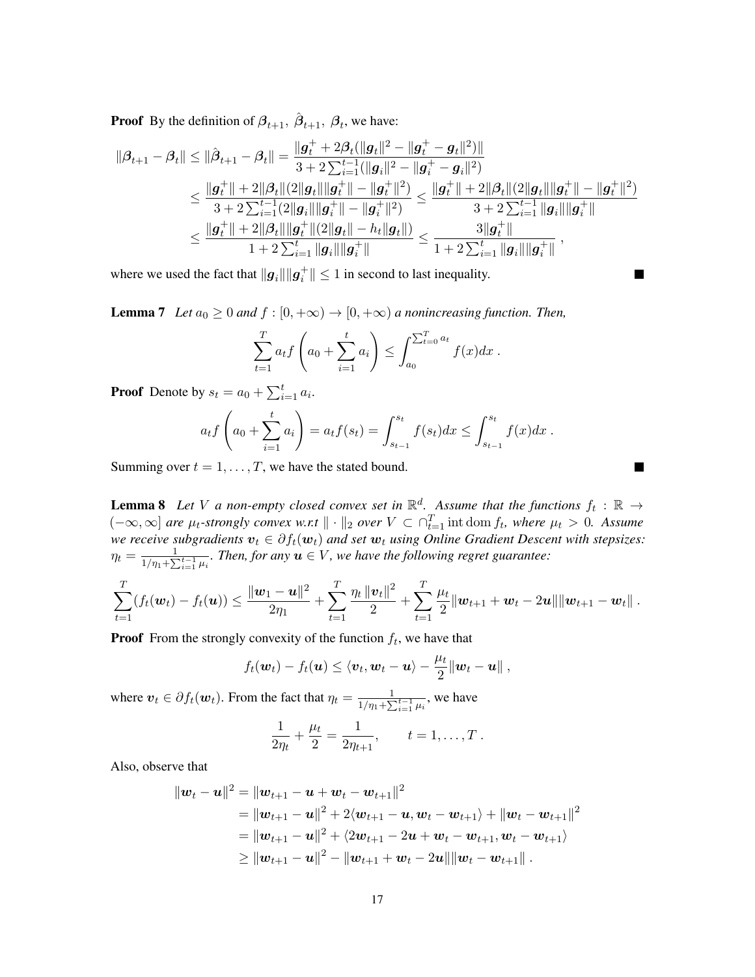**Proof** By the definition of  $\beta_{t+1}$ ,  $\hat{\beta}_{t+1}$ ,  $\beta_t$ , we have:

$$
\begin{aligned} \|\boldsymbol{\beta}_{t+1}-\boldsymbol{\beta}_{t}\| & \leq \|\hat{\boldsymbol{\beta}}_{t+1}-\boldsymbol{\beta}_{t}\| = \frac{\|\boldsymbol{g}_{t}^{+}+2\boldsymbol{\beta}_{t}(\|\boldsymbol{g}_{t}\|^{2}-\|\boldsymbol{g}_{t}^{+}-\boldsymbol{g}_{t}\|^{2})\|}{3+2\sum_{i=1}^{t-1}(\|\boldsymbol{g}_{i}\|^{2}-\|\boldsymbol{g}_{t}^{+}-\boldsymbol{g}_{i}\|^{2})} \\ & \leq \frac{\|\boldsymbol{g}_{t}^{+}\|+2\|\boldsymbol{\beta}_{t}\|(2\|\boldsymbol{g}_{t}\|\|\boldsymbol{g}_{t}^{+}\|-\|\boldsymbol{g}_{t}^{+}\|^{2})}{3+2\sum_{i=1}^{t-1}(2\|\boldsymbol{g}_{i}\|\|\boldsymbol{g}_{t}^{+}\|-\|\boldsymbol{g}_{t}^{+}\|^{2})} \leq \frac{\|\boldsymbol{g}_{t}^{+}\|+2\|\boldsymbol{\beta}_{t}\|(2\|\boldsymbol{g}_{t}\|\|\boldsymbol{g}_{t}^{+}\|-\|\boldsymbol{g}_{t}^{+}\|^{2})}{3+2\sum_{i=1}^{t-1}\|\boldsymbol{g}_{i}\|\|\boldsymbol{g}_{t}^{+}\|} \\ & \leq \frac{\|\boldsymbol{g}_{t}^{+}\|+2\|\boldsymbol{\beta}_{t}\|\|\boldsymbol{g}_{t}^{+}\|(2\|\boldsymbol{g}_{t}\|-\boldsymbol{h}_{t}\|\boldsymbol{g}_{t}\|)}{1+2\sum_{i=1}^{t}\|\boldsymbol{g}_{i}\|\|\boldsymbol{g}_{t}^{+}\|} \leq \frac{3\|\boldsymbol{g}_{t}^{+}\|}{1+2\sum_{i=1}^{t}\|\boldsymbol{g}_{i}\|\|\boldsymbol{g}_{t}^{+}\|} \ , \end{aligned}
$$

 $\blacksquare$ 

where we used the fact that  $||g_i|| ||g_i^+|| \le 1$  in second to last inequality.

**Lemma 7** *Let*  $a_0 \geq 0$  *and*  $f : [0, +\infty) \to [0, +\infty)$  *a nonincreasing function. Then,* 

$$
\sum_{t=1}^{T} a_t f\left(a_0 + \sum_{i=1}^{t} a_i\right) \le \int_{a_0}^{\sum_{t=0}^{T} a_t} f(x) dx.
$$

**Proof** Denote by  $s_t = a_0 + \sum_{i=1}^t a_i$ .

$$
a_t f\left(a_0 + \sum_{i=1}^t a_i\right) = a_t f(s_t) = \int_{s_{t-1}}^{s_t} f(s_t) dx \le \int_{s_{t-1}}^{s_t} f(x) dx.
$$

Summing over  $t = 1, \ldots, T$ , we have the stated bound.

<span id="page-16-0"></span>**Lemma 8** Let V a non-empty closed convex set in  $\mathbb{R}^d$ . Assume that the functions  $f_t : \mathbb{R} \to$  $(-\infty, \infty]$  *are*  $\mu_t$ -strongly convex w.r.t  $\|\cdot\|_2$  over  $V \subset \bigcap_{t=1}^T \text{int dom } f_t$ , where  $\mu_t > 0$ . Assume we receive subgradients  $v_t \in \partial f_t(\bm{w}_t)$  and set  $\bm{w}_t$  using Online Gradient Descent with stepsizes:  $\eta_t = \frac{1}{1/n_t + \sum_{i=1}^{n} n_i}$  $\frac{1}{1/\eta_1 + \sum_{i=1}^{t-1} \mu_i}$ . Then, for any  $u \in V$ , we have the following regret guarantee:

$$
\sum_{t=1}^T (f_t(\boldsymbol{w}_t) - f_t(\boldsymbol{u})) \leq \frac{\|\boldsymbol{w}_1 - \boldsymbol{u}\|^2}{2\eta_1} + \sum_{t=1}^T \frac{\eta_t \|\boldsymbol{v}_t\|^2}{2} + \sum_{t=1}^T \frac{\mu_t}{2} \|\boldsymbol{w}_{t+1} + \boldsymbol{w}_t - 2\boldsymbol{u}\| \|\boldsymbol{w}_{t+1} - \boldsymbol{w}_t\|.
$$

**Proof** From the strongly convexity of the function  $f_t$ , we have that

$$
f_t(\boldsymbol{w}_t) - f_t(\boldsymbol{u}) \leq \langle \boldsymbol{v}_t, \boldsymbol{w}_t - \boldsymbol{u} \rangle - \frac{\mu_t}{2} || \boldsymbol{w}_t - \boldsymbol{u} ||,
$$

where  $v_t \in \partial f_t(\boldsymbol{w}_t)$ . From the fact that  $\eta_t = \frac{1}{1/\gamma_t + \sum_{i=1}^{n} |\boldsymbol{w}_t|}$  $\frac{1}{1/\eta_1 + \sum_{i=1}^{t-1} \mu_i}$ , we have

$$
\frac{1}{2\eta_t} + \frac{\mu_t}{2} = \frac{1}{2\eta_{t+1}}, \qquad t = 1, \dots, T.
$$

Also, observe that

$$
\begin{aligned} \|{\boldsymbol w}_t - {\boldsymbol u}\|^2 &= \|{\boldsymbol w}_{t+1} - {\boldsymbol u} + {\boldsymbol w}_t - {\boldsymbol w}_{t+1}\|^2 \\ &= \|{\boldsymbol w}_{t+1} - {\boldsymbol u}\|^2 + 2\langle {\boldsymbol w}_{t+1} - {\boldsymbol u}, {\boldsymbol w}_t - {\boldsymbol w}_{t+1}\rangle + \|{\boldsymbol w}_t - {\boldsymbol w}_{t+1}\|^2 \\ &= \|{\boldsymbol w}_{t+1} - {\boldsymbol u}\|^2 + \langle 2{\boldsymbol w}_{t+1} - 2{\boldsymbol u} + {\boldsymbol w}_t - {\boldsymbol w}_{t+1}, {\boldsymbol w}_t - {\boldsymbol w}_{t+1}\rangle \\ &\geq \|{\boldsymbol w}_{t+1} - {\boldsymbol u}\|^2 - \|{\boldsymbol w}_{t+1} + {\boldsymbol w}_t - 2{\boldsymbol u}\| \|{\boldsymbol w}_t - {\boldsymbol w}_{t+1}\|\,. \end{aligned}
$$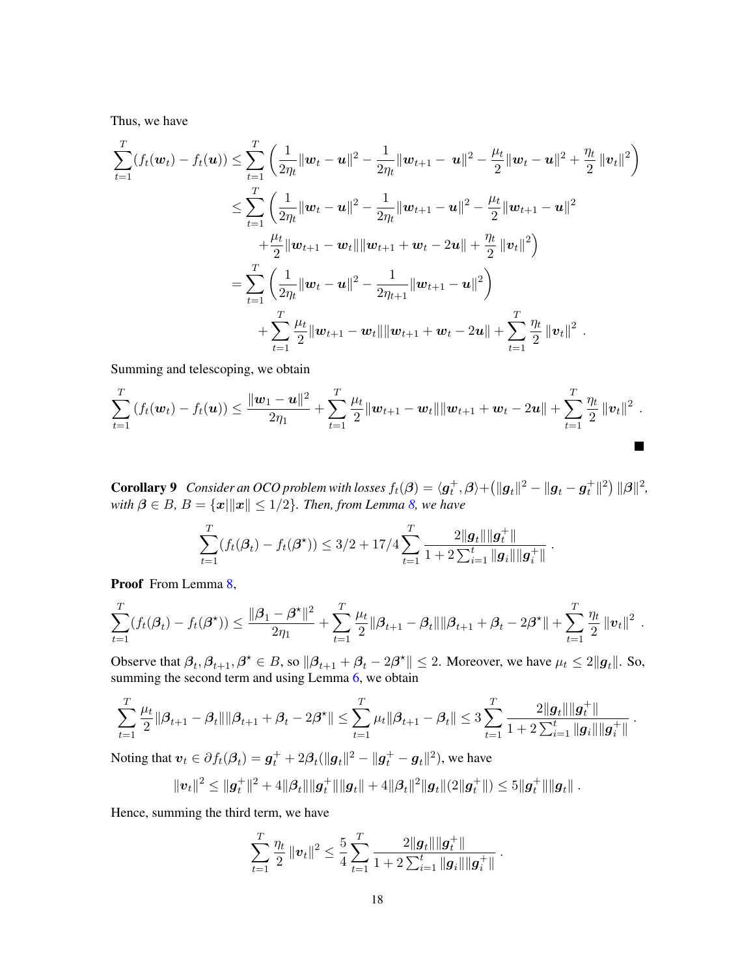Thus, we have

$$
\sum_{t=1}^{T} (f_t(\boldsymbol{w}_t) - f_t(\boldsymbol{u})) \leq \sum_{t=1}^{T} \left( \frac{1}{2\eta_t} ||\boldsymbol{w}_t - \boldsymbol{u}||^2 - \frac{1}{2\eta_t} ||\boldsymbol{w}_{t+1} - \boldsymbol{u}||^2 - \frac{\mu_t}{2} ||\boldsymbol{w}_t - \boldsymbol{u}||^2 + \frac{\eta_t}{2} ||\boldsymbol{v}_t||^2 \right)
$$
  

$$
\leq \sum_{t=1}^{T} \left( \frac{1}{2\eta_t} ||\boldsymbol{w}_t - \boldsymbol{u}||^2 - \frac{1}{2\eta_t} ||\boldsymbol{w}_{t+1} - \boldsymbol{u}||^2 - \frac{\mu_t}{2} ||\boldsymbol{w}_{t+1} - \boldsymbol{u}||^2
$$
  

$$
+ \frac{\mu_t}{2} ||\boldsymbol{w}_{t+1} - \boldsymbol{w}_t|| ||\boldsymbol{w}_{t+1} + \boldsymbol{w}_t - 2\boldsymbol{u}|| + \frac{\eta_t}{2} ||\boldsymbol{v}_t||^2 \right)
$$
  

$$
= \sum_{t=1}^{T} \left( \frac{1}{2\eta_t} ||\boldsymbol{w}_t - \boldsymbol{u}||^2 - \frac{1}{2\eta_{t+1}} ||\boldsymbol{w}_{t+1} - \boldsymbol{u}||^2 \right)
$$
  

$$
+ \sum_{t=1}^{T} \frac{\mu_t}{2} ||\boldsymbol{w}_{t+1} - \boldsymbol{w}_t|| ||\boldsymbol{w}_{t+1} + \boldsymbol{w}_t - 2\boldsymbol{u}|| + \sum_{t=1}^{T} \frac{\eta_t}{2} ||\boldsymbol{v}_t||^2.
$$

Summing and telescoping, we obtain

$$
\sum_{t=1}^T \left( f_t(\boldsymbol{w}_t) - f_t(\boldsymbol{u}) \right) \leq \frac{\|\boldsymbol{w}_1 - \boldsymbol{u}\|^2}{2\eta_1} + \sum_{t=1}^T \frac{\mu_t}{2} \|\boldsymbol{w}_{t+1} - \boldsymbol{w}_t\| \|\boldsymbol{w}_{t+1} + \boldsymbol{w}_t - 2\boldsymbol{u}\| + \sum_{t=1}^T \frac{\eta_t}{2} \|\boldsymbol{v}_t\|^2.
$$

<span id="page-17-0"></span>**Corollary 9** Consider an OCO problem with losses  $f_t(\beta) = \langle g_t^+, \beta \rangle + \left( \| g_t \|^2 - \| g_t - g_t^+ \|^2 \right) \| \beta \|^2,$ *with*  $\beta \in B$ ,  $B = \{x \mid ||x|| \leq 1/2\}$ . Then, from Lemma [8,](#page-16-0) we have

$$
\sum_{t=1}^T (f_t(\beta_t) - f_t(\beta^\star)) \leq 3/2 + 17/4 \sum_{t=1}^T \frac{2\|\boldsymbol{g}_t\| \|\boldsymbol{g}_t^+\|}{1 + 2 \sum_{i=1}^t \|\boldsymbol{g}_i\| \|\boldsymbol{g}_i^+\|}.
$$

Proof From Lemma [8,](#page-16-0)

$$
\sum_{t=1}^T (f_t(\beta_t) - f_t(\beta^\star)) \leq \frac{\|\beta_1 - \beta^\star\|^2}{2\eta_1} + \sum_{t=1}^T \frac{\mu_t}{2} \|\beta_{t+1} - \beta_t\| \|\beta_{t+1} + \beta_t - 2\beta^\star\| + \sum_{t=1}^T \frac{\eta_t}{2} \|v_t\|^2.
$$

Observe that  $\beta_t, \beta_{t+1}, \beta^* \in B$ , so  $\|\beta_{t+1} + \beta_t - 2\beta^*\| \le 2$ . Moreover, we have  $\mu_t \le 2\|\boldsymbol{g}_t\|$ . So, summing the second term and using Lemma  $6$ , we obtain

$$
\sum_{t=1}^T \frac{\mu_t}{2} \|\boldsymbol{\beta}_{t+1} - \boldsymbol{\beta}_t\| \|\boldsymbol{\beta}_{t+1} + \boldsymbol{\beta}_t - 2\boldsymbol{\beta}^\star\| \leq \sum_{t=1}^T \mu_t \|\boldsymbol{\beta}_{t+1} - \boldsymbol{\beta}_t\| \leq 3 \sum_{t=1}^T \frac{2\| \boldsymbol{g}_t\| \|\boldsymbol{g}_t^+\|}{1 + 2\sum_{i=1}^t \| \boldsymbol{g}_i\| \| \boldsymbol{g}_i^+\|}~.
$$

Noting that  $v_t \in \partial f_t(\beta_t) = \boldsymbol{g}_t^+ + 2\beta_t (\|\boldsymbol{g}_t\|^2 - \|\boldsymbol{g}_t^+ - \boldsymbol{g}_t\|^2)$ , we have

$$
\|\boldsymbol{v}_t\|^2 \leq \|\boldsymbol{g}_t^+\|^2 + 4\|\boldsymbol{\beta}_t\|\|\boldsymbol{g}_t^+\|\|\boldsymbol{g}_t\| + 4\|\boldsymbol{\beta}_t\|^2\|\boldsymbol{g}_t\|(2\|\boldsymbol{g}_t^+\|) \leq 5\|\boldsymbol{g}_t^+\|\|\boldsymbol{g}_t\|.
$$

Hence, summing the third term, we have

$$
\sum_{t=1}^T \frac{\eta_t}{2} ||\boldsymbol{v}_t||^2 \leq \frac{5}{4} \sum_{t=1}^T \frac{2 ||\boldsymbol{g}_t|| ||\boldsymbol{g}_t^+||}{1 + 2 \sum_{i=1}^t ||\boldsymbol{g}_i|| ||\boldsymbol{g}_i^+||}.
$$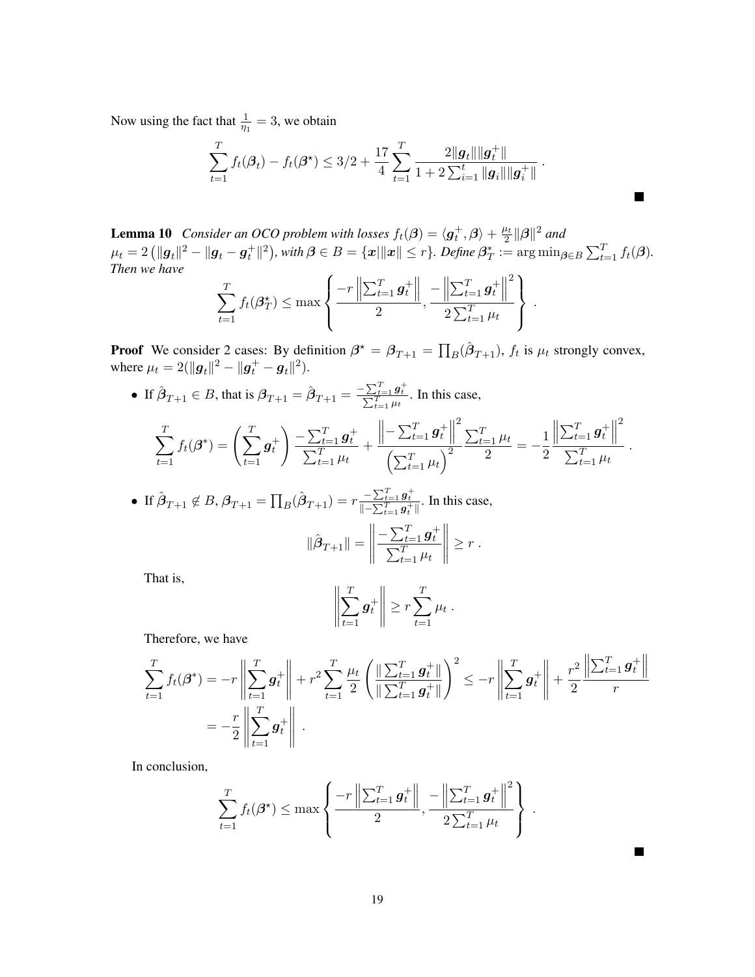Now using the fact that  $\frac{1}{\eta_1} = 3$ , we obtain

$$
\sum_{t=1}^T f_t(\beta_t) - f_t(\beta^*) \leq 3/2 + \frac{17}{4} \sum_{t=1}^T \frac{2\|g_t\| \|g_t^+\|}{1 + 2 \sum_{i=1}^t \|g_i\| \|g_i^+\|}.
$$

<span id="page-18-1"></span>**Lemma 10** *Consider an OCO problem with losses*  $f_t(\beta) = \langle g_t^+, \beta \rangle + \frac{\mu_t}{2}$  $\frac{u_t}{2} \|\boldsymbol{\beta}\|^2$  and  $\mu_t = 2\left(\|\bm{g}_t\|^2 - \|\bm{g}_t - \bm{g}_t^+\|^2\right)$ , with  $\bm{\beta} \in B = \{\bm{x}|\|\bm{x}\| \leq r\}$ . Define  $\bm{\beta}_T^* := \arg\min_{\bm{\beta} \in B} \sum_{t=1}^T f_t(\bm{\beta})$ . *Then we have*

$$
\sum_{t=1}^{T} f_{t}(\beta_{T}^{*}) \leq \max \left\{ \frac{-r \left\| \sum_{t=1}^{T} \boldsymbol{g}_{t}^{+} \right\|}{2}, \frac{-\left\| \sum_{t=1}^{T} \boldsymbol{g}_{t}^{+} \right\|^{2}}{2 \sum_{t=1}^{T} \mu_{t}} \right\}
$$

.

.

**Proof** We consider 2 cases: By definition  $\beta^* = \beta_{T+1} = \prod_B(\hat{\beta}_{T+1}), f_t$  is  $\mu_t$  strongly convex, where  $\mu_t = 2(||g_t||^2 - ||g_t^+ - g_t||^2)$ .

• If  $\hat{\beta}_{T+1} \in B$ , that is  $\beta_{T+1} = \hat{\beta}_{T+1} = \frac{-\sum_{t=1}^{T} g_t^+}{\sum_{t=1}^{T} \mu_t}$ . In this case,

$$
\sum_{t=1}^{T} f_t(\boldsymbol{\beta}^*) = \left(\sum_{t=1}^{T} \boldsymbol{g}_t^+\right) \frac{-\sum_{t=1}^{T} \boldsymbol{g}_t^+}{\sum_{t=1}^{T} \mu_t} + \frac{\left\|-\sum_{t=1}^{T} \boldsymbol{g}_t^+\right\|^2}{\left(\sum_{t=1}^{T} \mu_t\right)^2} \frac{\sum_{t=1}^{T} \mu_t}{2} = -\frac{1}{2} \frac{\left\|\sum_{t=1}^{T} \boldsymbol{g}_t^+\right\|^2}{\sum_{t=1}^{T} \mu_t}
$$

• If  $\hat{\beta}_{T+1} \notin B$ ,  $\beta_{T+1} = \prod_B (\hat{\beta}_{T+1}) = r \frac{-\sum_{t=1}^T g_t^+}{\left\| -\sum_{t=1}^T g_t^+ \right\|}$ . In this case,  $\|\hat{\boldsymbol{\beta}}_{T+1}\| =$   $-\sum_{t=1}^T \bm{g}_t^+$  $\sum$ t  $T_{t=1}$   $\mu_t$   $\geq r$ .

That is,

$$
\left\| \sum_{t=1}^T g_t^+ \right\| \geq r \sum_{t=1}^T \mu_t.
$$

Therefore, we have

$$
\sum_{t=1}^{T} f_t(\beta^*) = -r \left\| \sum_{t=1}^{T} g_t^+ \right\| + r^2 \sum_{t=1}^{T} \frac{\mu_t}{2} \left( \frac{\left\| \sum_{t=1}^{T} g_t^+ \right\|}{\left\| \sum_{t=1}^{T} g_t^+ \right\|} \right)^2 \leq -r \left\| \sum_{t=1}^{T} g_t^+ \right\| + \frac{r^2}{2} \frac{\left\| \sum_{t=1}^{T} g_t^+ \right\|}{r}
$$
\n
$$
= -\frac{r}{2} \left\| \sum_{t=1}^{T} g_t^+ \right\|.
$$

<span id="page-18-0"></span>In conclusion,

$$
\sum_{t=1}^{T} f_t(\beta^{\star}) \leq \max \left\{ \frac{-r \left\| \sum_{t=1}^{T} g_t^+ \right\|}{2}, \frac{-\left\| \sum_{t=1}^{T} g_t^+ \right\|^2}{2 \sum_{t=1}^{T} \mu_t} \right\}.
$$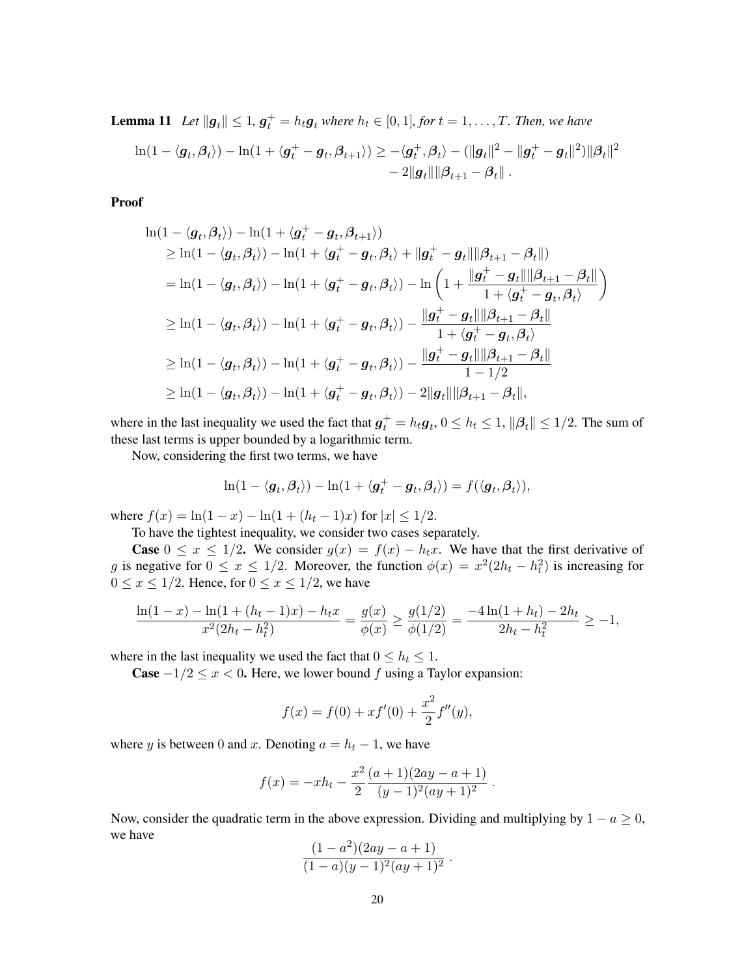**Lemma 11** Let  $||g_t|| \leq 1$ ,  $g_t^+ = h_t g_t$  where  $h_t \in [0, 1]$ , for  $t = 1, \ldots, T$ . Then, we have  $\ln(1-\langle\boldsymbol{g}_t,\boldsymbol{\beta}_t\rangle)-\ln(1+\langle\boldsymbol{g}_t^+-\boldsymbol{g}_t,\boldsymbol{\beta}_{t+1}\rangle)\geq -\langle\boldsymbol{g}_t^+,\boldsymbol{\beta}_t\rangle-(\|\boldsymbol{g}_t\|^2-\|\boldsymbol{g}_t^+-\boldsymbol{g}_t\|^2)\|\boldsymbol{\beta}_t\|^2$  $-2\|g_t\| \|\beta_{t+1} - \beta_t\|$ .

Proof

$$
\ln(1 - \langle \mathbf{g}_t, \boldsymbol{\beta}_t \rangle) - \ln(1 + \langle \mathbf{g}_t^+ - \mathbf{g}_t, \boldsymbol{\beta}_{t+1} \rangle)
$$
\n
$$
\geq \ln(1 - \langle \mathbf{g}_t, \boldsymbol{\beta}_t \rangle) - \ln(1 + \langle \mathbf{g}_t^+ - \mathbf{g}_t, \boldsymbol{\beta}_t \rangle + \|\mathbf{g}_t^+ - \mathbf{g}_t\| \|\boldsymbol{\beta}_{t+1} - \boldsymbol{\beta}_t \|)
$$
\n
$$
= \ln(1 - \langle \mathbf{g}_t, \boldsymbol{\beta}_t \rangle) - \ln(1 + \langle \mathbf{g}_t^+ - \mathbf{g}_t, \boldsymbol{\beta}_t \rangle) - \ln\left(1 + \frac{\|\mathbf{g}_t^+ - \mathbf{g}_t\| \|\boldsymbol{\beta}_{t+1} - \boldsymbol{\beta}_t \|}{1 + \langle \mathbf{g}_t^+ - \mathbf{g}_t, \boldsymbol{\beta}_t \rangle}\right)
$$
\n
$$
\geq \ln(1 - \langle \mathbf{g}_t, \boldsymbol{\beta}_t \rangle) - \ln(1 + \langle \mathbf{g}_t^+ - \mathbf{g}_t, \boldsymbol{\beta}_t \rangle) - \frac{\|\mathbf{g}_t^+ - \mathbf{g}_t\| \|\boldsymbol{\beta}_{t+1} - \boldsymbol{\beta}_t \|}{1 + \langle \mathbf{g}_t^+ - \mathbf{g}_t, \boldsymbol{\beta}_t \rangle}
$$
\n
$$
\geq \ln(1 - \langle \mathbf{g}_t, \boldsymbol{\beta}_t \rangle) - \ln(1 + \langle \mathbf{g}_t^+ - \mathbf{g}_t, \boldsymbol{\beta}_t \rangle) - \frac{\|\mathbf{g}_t^+ - \mathbf{g}_t\| \|\boldsymbol{\beta}_{t+1} - \boldsymbol{\beta}_t \|}{1 - 1/2}
$$
\n
$$
\geq \ln(1 - \langle \mathbf{g}_t, \boldsymbol{\beta}_t \rangle) - \ln(1 + \langle \mathbf{g}_t^+ - \mathbf{g}_t, \boldsymbol{\beta}_t \rangle) - 2\|\mathbf{g}_t\| \|\boldsymbol{\beta}_{t+1} - \boldsymbol{\beta}_t\|,
$$

where in the last inequality we used the fact that  $g_t^+ = h_t g_t$ ,  $0 \le h_t \le 1$ ,  $\|\beta_t\| \le 1/2$ . The sum of these last terms is upper bounded by a logarithmic term.

Now, considering the first two terms, we have

$$
\ln(1-\langle \pmb{g}_t, \pmb{\beta}_t \rangle) - \ln(1+\langle \pmb{g}^+_t-\pmb{g}_t, \pmb{\beta}_t \rangle) = f(\langle \pmb{g}_t, \pmb{\beta}_t \rangle),
$$

where  $f(x) = \ln(1-x) - \ln(1+(h_t-1)x)$  for  $|x| \leq 1/2$ .

To have the tightest inequality, we consider two cases separately.

**Case**  $0 \le x \le 1/2$ . We consider  $g(x) = f(x) - h_t x$ . We have that the first derivative of g is negative for  $0 \le x \le 1/2$ . Moreover, the function  $\phi(x) = x^2(2h_t - h_t^2)$  is increasing for  $0 \le x \le 1/2$ . Hence, for  $0 \le x \le 1/2$ , we have

$$
\frac{\ln(1-x) - \ln(1 + (h_t - 1)x) - h_t x}{x^2 (2h_t - h_t^2)} = \frac{g(x)}{\phi(x)} \ge \frac{g(1/2)}{\phi(1/2)} = \frac{-4\ln(1 + h_t) - 2h_t}{2h_t - h_t^2} \ge -1,
$$

where in the last inequality we used the fact that  $0 \leq h_t \leq 1$ .

Case  $-1/2 \le x < 0$ . Here, we lower bound f using a Taylor expansion:

$$
f(x) = f(0) + xf'(0) + \frac{x^2}{2}f''(y),
$$

where y is between 0 and x. Denoting  $a = h_t - 1$ , we have

$$
f(x) = -xh_t - \frac{x^2}{2} \frac{(a+1)(2ay - a + 1)}{(y-1)^2 (ay+1)^2}.
$$

Now, consider the quadratic term in the above expression. Dividing and multiplying by  $1 - a \geq 0$ , we have  $2\sqrt{2}$ 

$$
\frac{(1-a^2)(2ay-a+1)}{(1-a)(y-1)^2(ay+1)^2}.
$$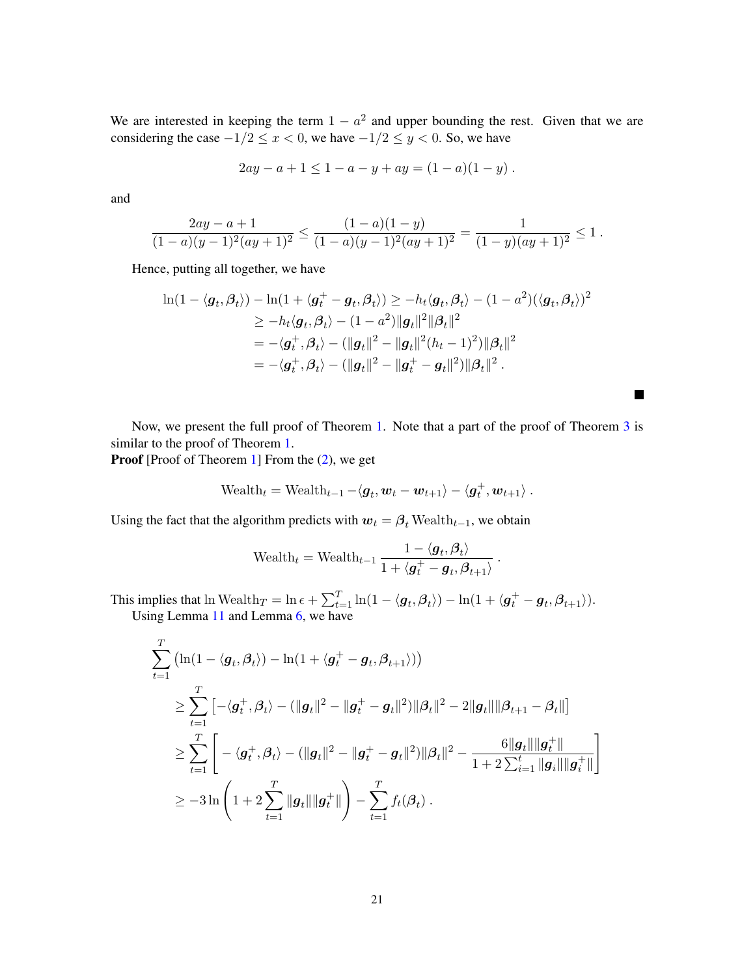We are interested in keeping the term  $1 - a^2$  and upper bounding the rest. Given that we are considering the case  $-1/2 \le x < 0$ , we have  $-1/2 \le y < 0$ . So, we have

$$
2ay - a + 1 \le 1 - a - y + ay = (1 - a)(1 - y).
$$

and

$$
\frac{2ay-a+1}{(1-a)(y-1)^2(ay+1)^2} \le \frac{(1-a)(1-y)}{(1-a)(y-1)^2(ay+1)^2} = \frac{1}{(1-y)(ay+1)^2} \le 1.
$$

Hence, putting all together, we have

$$
\ln(1 - \langle \mathbf{g}_t, \boldsymbol{\beta}_t \rangle) - \ln(1 + \langle \mathbf{g}_t^+ - \mathbf{g}_t, \boldsymbol{\beta}_t \rangle) \ge -h_t \langle \mathbf{g}_t, \boldsymbol{\beta}_t \rangle - (1 - a^2)(\langle \mathbf{g}_t, \boldsymbol{\beta}_t \rangle)^2
$$
  
\n
$$
\ge -h_t \langle \mathbf{g}_t, \boldsymbol{\beta}_t \rangle - (1 - a^2) ||\mathbf{g}_t||^2 ||\boldsymbol{\beta}_t||^2
$$
  
\n
$$
= -\langle \mathbf{g}_t^+, \boldsymbol{\beta}_t \rangle - (||\mathbf{g}_t||^2 - ||\mathbf{g}_t||^2 (h_t - 1)^2) ||\boldsymbol{\beta}_t||^2
$$
  
\n
$$
= -\langle \mathbf{g}_t^+, \boldsymbol{\beta}_t \rangle - (||\mathbf{g}_t||^2 - ||\mathbf{g}_t^+ - \mathbf{g}_t||^2) ||\boldsymbol{\beta}_t||^2.
$$

Now, we present the full proof of Theorem [1.](#page-5-2) Note that a part of the proof of Theorem [3](#page-8-2) is similar to the proof of Theorem [1.](#page-5-2)

Proof [Proof of Theorem [1\]](#page-5-2) From the  $(2)$ , we get

$$
\text{Weak}_t = \text{Weakh}_{t-1} - \langle \boldsymbol{g}_t, \boldsymbol{w}_t - \boldsymbol{w}_{t+1} \rangle - \langle \boldsymbol{g}_t^+, \boldsymbol{w}_{t+1} \rangle.
$$

Using the fact that the algorithm predicts with  $w_t = \beta_t$  Wealth $_{t-1}$ , we obtain

$$
\text{Weakh}_t = \text{Weakh}_{t-1} \, \frac{1 - \langle \boldsymbol{g}_t, \boldsymbol{\beta}_t \rangle}{1 + \langle \boldsymbol{g}_t^+ - \boldsymbol{g}_t, \boldsymbol{\beta}_{t+1} \rangle}
$$

.

**Tale** 

This implies that  $\ln\text{Weak}_T = \ln \epsilon + \sum_{t=1}^T \ln(1 - \langle \boldsymbol{g}_t, \boldsymbol{\beta}_t \rangle) - \ln(1 + \langle \boldsymbol{g}_t^+ - \boldsymbol{g}_t, \boldsymbol{\beta}_{t+1} \rangle).$ Using Lemma [11](#page-18-0) and Lemma [6,](#page-15-13) we have

$$
\sum_{t=1}^{T} (\ln(1 - \langle \mathbf{g}_t, \beta_t \rangle) - \ln(1 + \langle \mathbf{g}_t^+ - \mathbf{g}_t, \beta_{t+1} \rangle))
$$
\n
$$
\geq \sum_{t=1}^{T} \left[ -\langle \mathbf{g}_t^+, \beta_t \rangle - (\|\mathbf{g}_t\|^2 - \|\mathbf{g}_t^+ - \mathbf{g}_t\|^2) \|\beta_t\|^2 - 2\|\mathbf{g}_t\| \|\beta_{t+1} - \beta_t\| \right]
$$
\n
$$
\geq \sum_{t=1}^{T} \left[ -\langle \mathbf{g}_t^+, \beta_t \rangle - (\|\mathbf{g}_t\|^2 - \|\mathbf{g}_t^+ - \mathbf{g}_t\|^2) \|\beta_t\|^2 - \frac{6\|\mathbf{g}_t\| \|\mathbf{g}_t^+\|}{1 + 2\sum_{i=1}^{t} \|\mathbf{g}_i\| \|\mathbf{g}_t^+\|} \right]
$$
\n
$$
\geq -3\ln\left(1 + 2\sum_{t=1}^{T} \|\mathbf{g}_t\| \|\mathbf{g}_t^+\| \right) - \sum_{t=1}^{T} f_t(\beta_t).
$$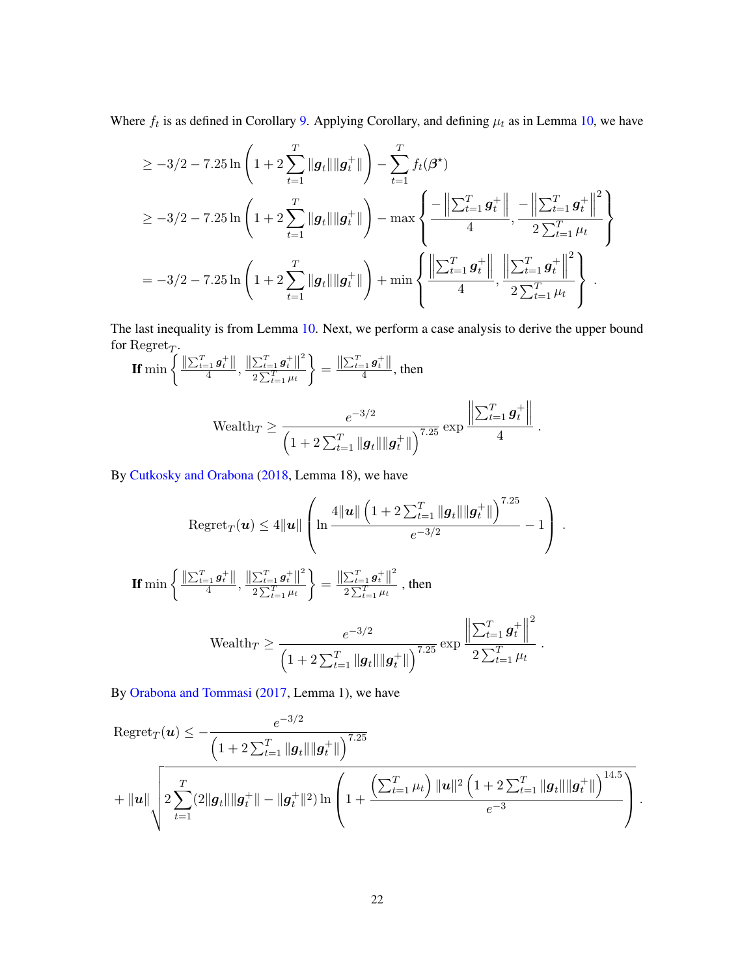Where  $f_t$  is as defined in Corollary [9.](#page-17-0) Applying Corollary, and defining  $\mu_t$  as in Lemma [10,](#page-18-1) we have

$$
\geq -3/2 - 7.25 \ln \left( 1 + 2 \sum_{t=1}^{T} ||g_t|| ||g_t^+|| \right) - \sum_{t=1}^{T} f_t(\beta^*)
$$
  
\n
$$
\geq -3/2 - 7.25 \ln \left( 1 + 2 \sum_{t=1}^{T} ||g_t|| ||g_t^+|| \right) - \max \left\{ \frac{-\left\| \sum_{t=1}^{T} g_t^+ \right\|}{4}, \frac{-\left\| \sum_{t=1}^{T} g_t^+ \right\|^2}{2 \sum_{t=1}^{T} \mu_t} \right\}
$$
  
\n
$$
= -3/2 - 7.25 \ln \left( 1 + 2 \sum_{t=1}^{T} ||g_t|| ||g_t^+|| \right) + \min \left\{ \frac{\left\| \sum_{t=1}^{T} g_t^+ \right\|}{4}, \frac{\left\| \sum_{t=1}^{T} g_t^+ \right\|^2}{2 \sum_{t=1}^{T} \mu_t} \right\}.
$$

The last inequality is from Lemma [10.](#page-18-1) Next, we perform a case analysis to derive the upper bound for  $\text{Regret}_T$ .

$$
\mathbf{If} \min \left\{ \frac{\|\sum_{t=1}^T g_t^+\|}{4}, \frac{\|\sum_{t=1}^T g_t^+\|^2}{2\sum_{t=1}^T \mu_t} \right\} = \frac{\|\sum_{t=1}^T g_t^+\|}{4}, \text{ then}
$$
\n
$$
\text{Weakh}_T \ge \frac{e^{-3/2}}{\left(1 + 2\sum_{t=1}^T \|g_t\| \|g_t^+\| \right)^{7.25}} \exp \frac{\left\|\sum_{t=1}^T g_t^+\right\|}{4}.
$$

By [Cutkosky and Orabona](#page-13-2) [\(2018,](#page-13-2) Lemma 18), we have

$$
\begin{aligned}\n\text{Regret}_{T}(\boldsymbol{u}) &\leq 4\|\boldsymbol{u}\| \left( \ln \frac{4\|\boldsymbol{u}\| \left( 1 + 2\sum_{t=1}^{T} \|\boldsymbol{g}_{t}\| \|\boldsymbol{g}_{t}^{+}\| \right)^{7.25}}{e^{-3/2}} - 1 \right) \\
\text{If } \min \left\{ \frac{\|\sum_{t=1}^{T} \boldsymbol{g}_{t}^{+}\|}{4}, \frac{\|\sum_{t=1}^{T} \boldsymbol{g}_{t}^{+}\|^{2}}{2\sum_{t=1}^{T} \mu_{t}} \right\} = \frac{\|\sum_{t=1}^{T} \boldsymbol{g}_{t}^{+}\|^{2}}{2\sum_{t=1}^{T} \mu_{t}}, \text{ then} \\
\text{Wealth}_{T} &\geq \frac{e^{-3/2}}{\left( 1 + 2\sum_{t=1}^{T} \|\boldsymbol{g}_{t}\| \|\boldsymbol{g}_{t}^{+}\| \right)^{7.25}} \exp \frac{\left\| \sum_{t=1}^{T} \boldsymbol{g}_{t}^{+} \right\|^{2}}{2\sum_{t=1}^{T} \mu_{t}} \,.\n\end{aligned}
$$

By [Orabona and Tommasi](#page-15-11) [\(2017,](#page-15-11) Lemma 1), we have

$$
\begin{aligned} &\operatorname{Regret}_{T}(\boldsymbol{u}) \leq -\frac{e^{-3/2}}{\left(1+2\sum_{t=1}^{T}\|\boldsymbol{g}_{t}\|\|\boldsymbol{g}_{t}^{+}\|\right)^{7.25}} \\&+ \|\boldsymbol{u}\|\sqrt{2\sum_{t=1}^{T}(2\|\boldsymbol{g}_{t}\|\|\boldsymbol{g}_{t}^{+}\| - \|\boldsymbol{g}_{t}^{+}\|^{2})\ln\left(1+\frac{\left(\sum_{t=1}^{T}\mu_{t}\right)\|\boldsymbol{u}\|^{2}\left(1+2\sum_{t=1}^{T}\|\boldsymbol{g}_{t}\|\|\boldsymbol{g}_{t}^{+}\|\right)^{14.5}}{e^{-3}}\right)}\,. \end{aligned}
$$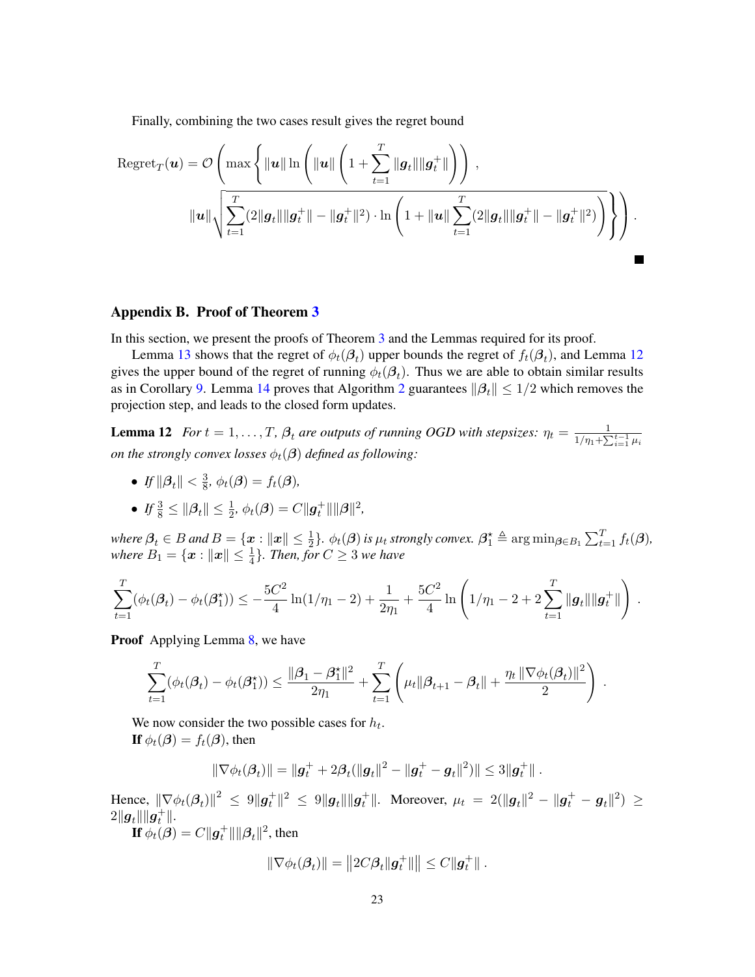Finally, combining the two cases result gives the regret bound

$$
\text{Regret}_{T}(\boldsymbol{u}) = \mathcal{O}\left(\max\left\{\|\boldsymbol{u}\| \ln \left(\|\boldsymbol{u}\| \left(1 + \sum_{t=1}^{T} \|\boldsymbol{g}_{t}\| \|\boldsymbol{g}_{t}^{+}\|\right)\right)\right),\right.\right.
$$

$$
\|\boldsymbol{u}\|\sqrt{\sum_{t=1}^{T} (2\|\boldsymbol{g}_{t}\| \|\boldsymbol{g}_{t}^{+}\| - \|\boldsymbol{g}_{t}^{+}\|^{2}) \cdot \ln\left(1 + \|\boldsymbol{u}\| \sum_{t=1}^{T} (2\|\boldsymbol{g}_{t}\| \|\boldsymbol{g}_{t}^{+}\| - \|\boldsymbol{g}_{t}^{+}\|^{2})\right)}\right\}\right).
$$

<span id="page-22-0"></span>

# Appendix B. Proof of Theorem [3](#page-8-2)

In this section, we present the proofs of Theorem [3](#page-8-2) and the Lemmas required for its proof.

Lemma [13](#page-23-0) shows that the regret of  $\phi_t(\mathcal{B}_t)$  upper bounds the regret of  $f_t(\mathcal{B}_t)$ , and Lemma [12](#page-22-0) gives the upper bound of the regret of running  $\phi_t(\beta_t)$ . Thus we are able to obtain similar results as in Corollary [9.](#page-17-0) Lemma [14](#page-23-1) proves that Algorithm [2](#page-8-1) guarantees  $\|\beta_t\| \leq 1/2$  which removes the projection step, and leads to the closed form updates.

**Lemma 12** *For*  $t = 1, \ldots, T$ ,  $\beta_t$  *are outputs of running OGD with stepsizes:*  $\eta_t = \frac{1}{1/n_1 + \sum_{i=1}^{T} n_i}$  $\frac{1}{\eta_1 + \sum_{i=1}^{t-1} \mu_i}$ *on the strongly convex losses*  $\phi_t(\beta)$  *defined as following:* 

- $\bullet$  *If*  $\|\boldsymbol{\beta}_t\| < \frac{3}{8}$  $\frac{3}{8}$ ,  $\phi_t(\boldsymbol{\beta}) = f_t(\boldsymbol{\beta}),$
- If  $\frac{3}{8} \leq ||\beta_t|| \leq \frac{1}{2}$ ,  $\phi_t(\beta) = C ||g_t^+|| ||\beta||^2$ ,

 $where \ \beta_t \in B \ and \ B = \{\bm{x}: \|\bm{x}\| \leq \frac{1}{2}\}$ .  $\phi_t(\bm{\beta})$  is  $\mu_t$  strongly convex.  $\bm{\beta}_1^\star \triangleq \arg\min_{\bm{\beta} \in B_1} \sum_{t=1}^T f_t(\bm{\beta})$ , where  $B_1 = \{ \boldsymbol{x} : ||\boldsymbol{x}|| \leq \frac{1}{4} \}$ . Then, for  $C \geq 3$  we have

$$
\sum_{t=1}^T (\phi_t(\beta_t) - \phi_t(\beta_1^{\star})) \leq -\frac{5C^2}{4}\ln(1/\eta_1 - 2) + \frac{1}{2\eta_1} + \frac{5C^2}{4}\ln\left(1/\eta_1 - 2 + 2\sum_{t=1}^T \|\mathbf{g}_t\| \|\mathbf{g}_t^+\| \right).
$$

Proof Applying Lemma [8,](#page-16-0) we have

$$
\sum_{t=1}^T (\phi_t(\beta_t) - \phi_t(\beta_1^*)) \le \frac{\|\beta_1 - \beta_1^*\|^2}{2\eta_1} + \sum_{t=1}^T \left( \mu_t \|\beta_{t+1} - \beta_t\| + \frac{\eta_t \|\nabla \phi_t(\beta_t)\|^2}{2} \right).
$$

We now consider the two possible cases for  $h_t$ . If  $\phi_t(\beta) = f_t(\beta)$ , then

$$
\|\nabla \phi_t(\beta_t)\| = \|g_t^+ + 2\beta_t(\|g_t\|^2 - \|g_t^+ - g_t\|^2)\| \le 3\|g_t^+\|.
$$

Hence,  $\|\nabla\phi_{t}(\bm{\beta}_{t})\|^{2} \ \leq \ 9\|\bm{g}^+_t\|^{2} \ \leq \ 9\|\bm{g}_t\|\|\bm{g}^+_t\|.$  Moreover,  $\mu_t \ = \ 2(\|\bm{g}_t\|^{2} - \|\bm{g}^+_t - \bm{g}_t\|^{2}) \ \geq$  $2\|\boldsymbol{g}_t\|\|\hat{\boldsymbol{g}_t^+}\|.$ 

If  $\phi_t(\beta) = C ||g_t^+|| ||\beta_t||^2$ , then

$$
\|\nabla \phi_t(\boldsymbol{\beta}_t)\| = \|2C\boldsymbol{\beta}_t\| \boldsymbol{g}_t^+\| \|\leq C\|\boldsymbol{g}_t^+\|.
$$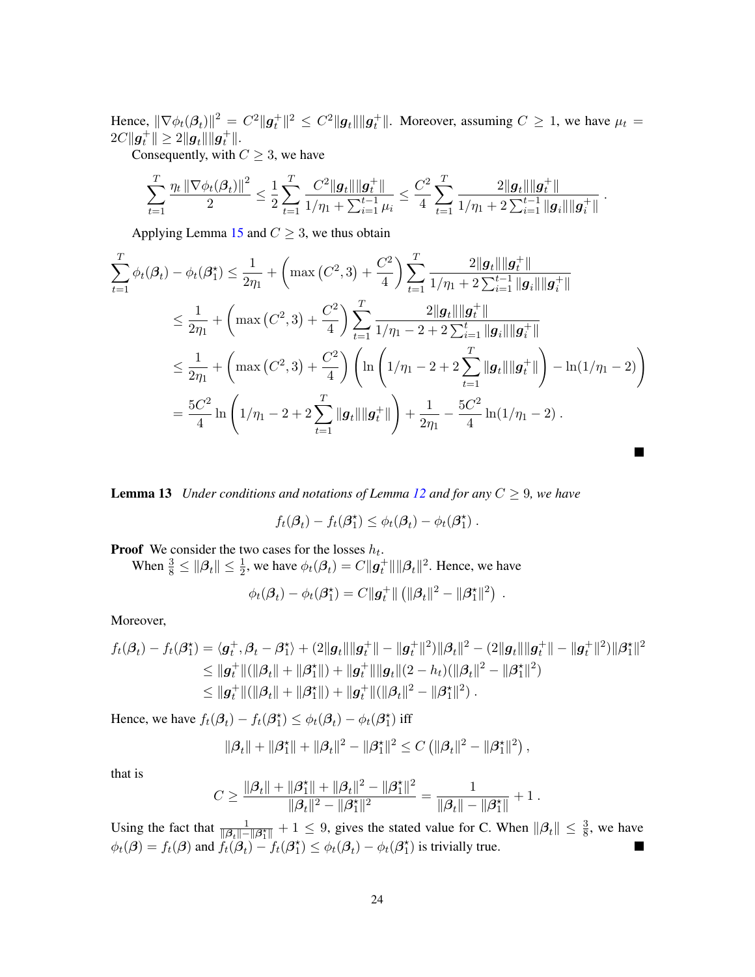Hence,  $\|\nabla\phi_t(\beta_t)\|^2 = C^2\|\mathbf{g}_t^+\|^2 \leq C^2\|\mathbf{g}_t\|\|\mathbf{g}_t^+\|$ . Moreover, assuming  $C \geq 1$ , we have  $\mu_t =$  $2C\|\bm{g}_t^+\| \geq 2\|\bm{g}_t\|\|\bm{g}_t^+\|.$ 

Consequently, with  $C \geq 3$ , we have

$$
\sum_{t=1}^T \frac{\eta_t \left\| \nabla \phi_t(\beta_t) \right\|^2}{2} \leq \frac{1}{2} \sum_{t=1}^T \frac{C^2 \|g_t\| \|g_t^+\|}{1/\eta_1 + \sum_{i=1}^{t-1} \mu_i} \leq \frac{C^2}{4} \sum_{t=1}^T \frac{2\|g_t\| \|g_t^+\|}{1/\eta_1 + 2\sum_{i=1}^{t-1} \|g_i\| \|g_i^+\|}.
$$

Applying Lemma [15](#page-24-0) and  $C \geq 3$ , we thus obtain

$$
\sum_{t=1}^{T} \phi_t(\beta_t) - \phi_t(\beta_1^*) \leq \frac{1}{2\eta_1} + \left( \max\left(C^2, 3\right) + \frac{C^2}{4} \right) \sum_{t=1}^{T} \frac{2\|g_t\| \|g_t^+\|}{1/\eta_1 + 2\sum_{i=1}^{t-1} \|g_i\| \|g_t^+\|} \n\leq \frac{1}{2\eta_1} + \left( \max\left(C^2, 3\right) + \frac{C^2}{4} \right) \sum_{t=1}^{T} \frac{2\|g_t\| \|g_t^+\|}{1/\eta_1 - 2 + 2\sum_{i=1}^{t} \|g_i\| \|g_t^+\|} \n\leq \frac{1}{2\eta_1} + \left( \max\left(C^2, 3\right) + \frac{C^2}{4} \right) \left( \ln\left(1/\eta_1 - 2 + 2\sum_{t=1}^{T} \|g_t\| \|g_t^+\| \right) - \ln(1/\eta_1 - 2) \right) \n= \frac{5C^2}{4} \ln\left(1/\eta_1 - 2 + 2\sum_{t=1}^{T} \|g_t\| \|g_t^+\| \right) + \frac{1}{2\eta_1} - \frac{5C^2}{4} \ln(1/\eta_1 - 2).
$$

<span id="page-23-0"></span>**Lemma 13** *Under conditions and notations of Lemma [12](#page-22-0) and for any*  $C \geq 9$ *, we have* 

$$
f_t(\mathcal{B}_t) - f_t(\mathcal{B}_1^{\star}) \leq \phi_t(\mathcal{B}_t) - \phi_t(\mathcal{B}_1^{\star}).
$$

**Proof** We consider the two cases for the losses  $h_t$ .

When  $\frac{3}{8} \leq ||\beta_t|| \leq \frac{1}{2}$ , we have  $\phi_t(\beta_t) = C ||g_t^+|| ||\beta_t||^2$ . Hence, we have

$$
\phi_t(\boldsymbol{\beta}_t) - \phi_t(\boldsymbol{\beta}_1^{\star}) = C \|\boldsymbol{g}_t^+\| \left( \|\boldsymbol{\beta}_t\|^2 - \|\boldsymbol{\beta}_1^{\star}\|^2 \right) .
$$

Moreover,

$$
f_t(\beta_t) - f_t(\beta_1^*) = \langle \mathbf{g}_t^+, \beta_t - \beta_1^* \rangle + (2\|\mathbf{g}_t\| \|\mathbf{g}_t^+\| - \|\mathbf{g}_t^+\|^2) \|\beta_t\|^2 - (2\|\mathbf{g}_t\| \|\mathbf{g}_t^+\| - \|\mathbf{g}_t^+\|^2) \|\beta_1^*\|^2
$$
  
\n
$$
\leq \|\mathbf{g}_t^+\| (\|\beta_t\| + \|\beta_1^*\|) + \|\mathbf{g}_t^+\| \|\mathbf{g}_t\|(2 - h_t)(\|\beta_t\|^2 - \|\beta_1^*\|^2)
$$
  
\n
$$
\leq \|\mathbf{g}_t^+\| (\|\beta_t\| + \|\beta_1^*\|) + \|\mathbf{g}_t^+\| (\|\beta_t\|^2 - \|\beta_1^*\|^2).
$$

Hence, we have  $f_t(\beta_t) - f_t(\beta_1^*) \leq \phi_t(\beta_t) - \phi_t(\beta_1^*)$  iff

$$
\|\beta_t\| + \|\beta_1^{\star}\| + \|\beta_t\|^2 - \|\beta_1^{\star}\|^2 \leq C \left( \|\beta_t\|^2 - \|\beta_1^{\star}\|^2 \right),
$$

that is

$$
C \geq \frac{\|\boldsymbol{\beta}_t\|+\|\boldsymbol{\beta}_1^\star\|+\|\boldsymbol{\beta}_t\|^2-\|\boldsymbol{\beta}_1^\star\|^2}{\|\boldsymbol{\beta}_t\|^2-\|\boldsymbol{\beta}_1^\star\|^2} = \frac{1}{\|\boldsymbol{\beta}_t\|-\|\boldsymbol{\beta}_1^\star\|}+1\;.
$$

<span id="page-23-1"></span>Using the fact that  $\frac{1}{\|\beta_t\| - \|\beta_1^*\|} + 1 \le 9$ , gives the stated value for C. When  $\|\beta_t\| \le \frac{3}{8}$ , we have  $\phi_t(\boldsymbol{\beta}) = f_t(\boldsymbol{\beta})$  and  $f_t(\boldsymbol{\beta}_t)^{-1} f_t(\boldsymbol{\beta}_1^*) \leq \phi_t(\boldsymbol{\beta}_t) - \phi_t(\boldsymbol{\beta}_1^*)$  is trivially true.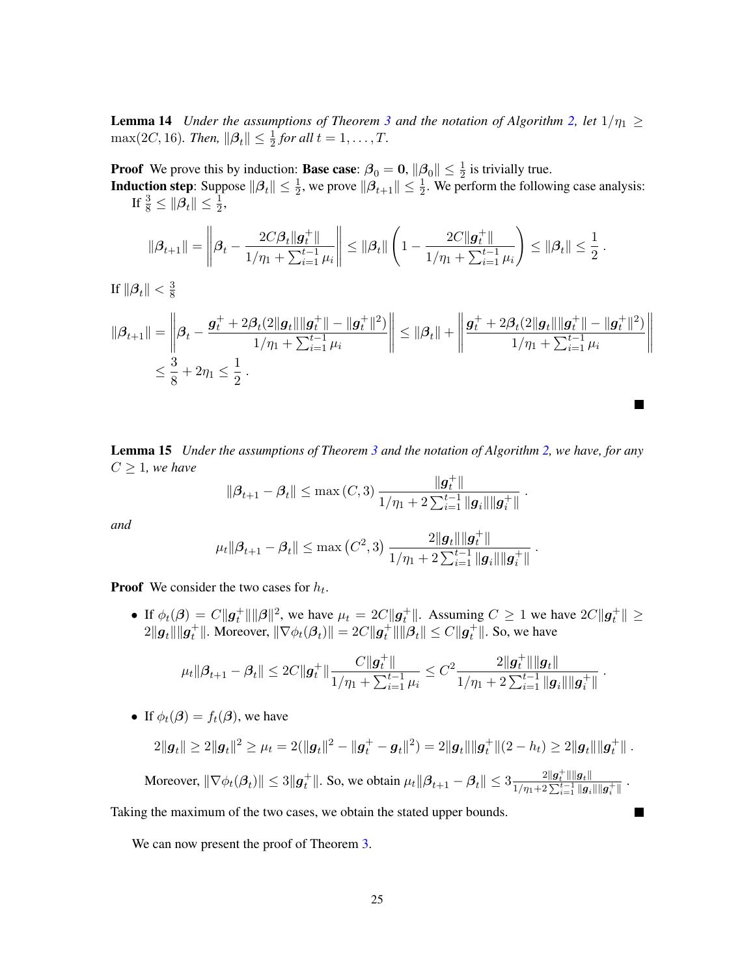**Lemma 14** *Under the assumptions of Theorem [3](#page-8-2) and the notation of Algorithm [2,](#page-8-1) let*  $1/\eta_1 \geq$  $\max(2C, 16)$ *. Then,*  $\|\boldsymbol{\beta}_t\| \leq \frac{1}{2}$  for all  $t = 1, ..., T$ *.* 

**Proof** We prove this by induction: **Base case**:  $\beta_0 = 0$ ,  $\|\beta_0\| \le \frac{1}{2}$  is trivially true.

**Induction step**: Suppose  $\|\beta_t\| \leq \frac{1}{2}$ , we prove  $\|\beta_{t+1}\| \leq \frac{1}{2}$ . We perform the following case analysis: If  $\frac{3}{8} \leq \|\boldsymbol{\beta}_t\| \leq \frac{1}{2}$ ,

$$
\|\boldsymbol{\beta}_{t+1}\| = \left\|\boldsymbol{\beta}_{t} - \frac{2C\beta_{t} \|\boldsymbol{g}_{t}^{+}\|}{1/\eta_{1} + \sum_{i=1}^{t-1} \mu_{i}}\right\| \leq \|\boldsymbol{\beta}_{t}\| \left(1 - \frac{2C\|\boldsymbol{g}_{t}^{+}\|}{1/\eta_{1} + \sum_{i=1}^{t-1} \mu_{i}}\right) \leq \|\boldsymbol{\beta}_{t}\| \leq \frac{1}{2}
$$

.

**In the Second** 

.

.

.

If  $\|\boldsymbol{\beta}_t\| < \frac{3}{8}$ 8

$$
\|\beta_{t+1}\| = \left\|\beta_t - \frac{g_t^+ + 2\beta_t(2\|g_t\|\|g_t^+\| - \|g_t^+\|^2)}{1/\eta_1 + \sum_{i=1}^{t-1} \mu_i} \right\| \le \|\beta_t\| + \left\|\frac{g_t^+ + 2\beta_t(2\|g_t\|\|g_t^+\| - \|g_t^+\|^2)}{1/\eta_1 + \sum_{i=1}^{t-1} \mu_i} \right\|
$$
  

$$
\le \frac{3}{8} + 2\eta_1 \le \frac{1}{2}.
$$

<span id="page-24-0"></span>Lemma 15 *Under the assumptions of Theorem [3](#page-8-2) and the notation of Algorithm [2,](#page-8-1) we have, for any*  $C \geq 1$ *, we have* 

$$
\|{\boldsymbol{\beta}}_{t+1} - {\boldsymbol{\beta}}_t\| \leq \max\left(C,3\right) \frac{\|{\boldsymbol{g}}_t^+\|}{1/\eta_1 + 2\sum_{i=1}^{t-1}\|{\boldsymbol{g}}_i\|\|{\boldsymbol{g}}_i^+\|}
$$

*and*

$$
\mu_t ||\boldsymbol{\beta}_{t+1} - \boldsymbol{\beta}_t|| \leq \max\left(C^2, 3\right) \frac{2\|\boldsymbol{g}_t\| \|\boldsymbol{g}_t^+\|}{1/\eta_1 + 2\sum_{i=1}^{t-1} \|\boldsymbol{g}_i\| \|\boldsymbol{g}_i^+\|}
$$

**Proof** We consider the two cases for  $h_t$ .

• If  $\phi_t(\beta) = C ||g_t^+|| ||\beta||^2$ , we have  $\mu_t = 2C ||g_t^+||$ . Assuming  $C \ge 1$  we have  $2C ||g_t^+|| \ge$  $2\|\bm{g}_t\|\|\bm{g}_t^+\|$ . Moreover,  $\|\nabla\phi_t(\bm{\beta}_t)\| = 2C\|\bm{g}_t^+\|\|\bm{\beta}_t\| \leq C\|\bm{g}_t^+\|$ . So, we have

$$
\mu_t \|\boldsymbol{\beta}_{t+1} - \boldsymbol{\beta}_t\| \leq 2C \|\boldsymbol{g}_t^+\| \frac{C \|\boldsymbol{g}_t^+\|}{1/\eta_1 + \sum_{i=1}^{t-1} \mu_i} \leq C^2 \frac{2 \|\boldsymbol{g}_t^+\| \|\boldsymbol{g}_t\|}{1/\eta_1 + 2\sum_{i=1}^{t-1} \|\boldsymbol{g}_i\| \|\boldsymbol{g}_i^+\|}.
$$

• If  $\phi_t(\mathcal{B}) = f_t(\mathcal{B})$ , we have

$$
2\|\bm{g}_t\| \geq 2\|\bm{g}_t\|^2 \geq \mu_t = 2(\|\bm{g}_t\|^2 - \|\bm{g}_t^+ - \bm{g}_t\|^2) = 2\|\bm{g}_t\|\|\bm{g}_t^+\|(2-h_t) \geq 2\|\bm{g}_t\|\|\bm{g}_t^+\|.
$$

Moreover,  $\|\nabla \phi_t(\beta_t)\| \le 3\|g_t^+\|$ . So, we obtain  $\mu_t \|\beta_{t+1} - \beta_t\| \le 3 \frac{2\|g_t^+\| \|g_t\|}{1/n + 2\sum_{t=1}^{t-1} \|g_t\|}$  $\frac{1}{\eta_1+2\sum_{i=1}^{t-1}\|{\boldsymbol g}_i\|\|{\boldsymbol g}_i^+\|}$ 

Taking the maximum of the two cases, we obtain the stated upper bounds.

We can now present the proof of Theorem [3.](#page-8-2)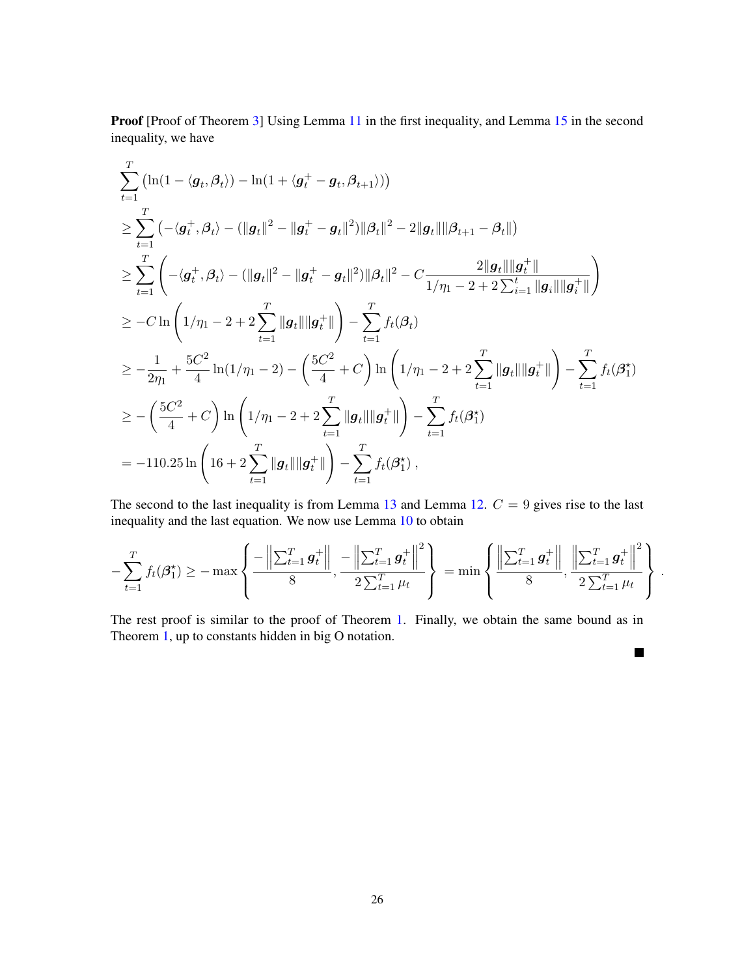Proof [Proof of Theorem [3\]](#page-8-2) Using Lemma [11](#page-18-0) in the first inequality, and Lemma [15](#page-24-0) in the second inequality, we have

$$
\sum_{t=1}^{T} (\ln(1 - \langle g_t, \beta_t \rangle) - \ln(1 + \langle g_t^+ - g_t, \beta_{t+1} \rangle))
$$
\n
$$
\geq \sum_{t=1}^{T} (-\langle g_t^+, \beta_t \rangle - (\|g_t\|^2 - \|g_t^+ - g_t\|^2) \|\beta_t\|^2 - 2\|g_t\| \|\beta_{t+1} - \beta_t\|)
$$
\n
$$
\geq \sum_{t=1}^{T} \left( -\langle g_t^+, \beta_t \rangle - (\|g_t\|^2 - \|g_t^+ - g_t\|^2) \|\beta_t\|^2 - C \frac{2\|g_t\| \|g_t^+\|}{1/\eta_1 - 2 + 2 \sum_{t=1}^{t} \|g_t\| \|g_t^+\|} \right)
$$
\n
$$
\geq -C \ln \left( 1/\eta_1 - 2 + 2 \sum_{t=1}^{T} \|g_t\| \|g_t^+\| \right) - \sum_{t=1}^{T} f_t(\beta_t)
$$
\n
$$
\geq -\frac{1}{2\eta_1} + \frac{5C^2}{4} \ln(1/\eta_1 - 2) - \left( \frac{5C^2}{4} + C \right) \ln \left( 1/\eta_1 - 2 + 2 \sum_{t=1}^{T} \|g_t\| \|g_t^+\| \right) - \sum_{t=1}^{T} f_t(\beta_1^*)
$$
\n
$$
\geq -\left( \frac{5C^2}{4} + C \right) \ln \left( 1/\eta_1 - 2 + 2 \sum_{t=1}^{T} \|g_t\| \|g_t^+\| \right) - \sum_{t=1}^{T} f_t(\beta_1^*)
$$
\n
$$
= -110.25 \ln \left( 16 + 2 \sum_{t=1}^{T} \|g_t\| \|g_t^+\| \right) - \sum_{t=1}^{T} f_t(\beta_1^*),
$$

The second to the last inequality is from Lemma [13](#page-23-0) and Lemma [12.](#page-22-0)  $C = 9$  gives rise to the last inequality and the last equation. We now use Lemma [10](#page-18-1) to obtain

$$
-\sum_{t=1}^{T} f_t(\beta_1^{\star}) \ge -\max\left\{\frac{-\left\|\sum_{t=1}^{T} g_t^+\right\|}{8}, \frac{-\left\|\sum_{t=1}^{T} g_t^+\right\|^2}{2\sum_{t=1}^{T} \mu_t}\right\} = \min\left\{\frac{\left\|\sum_{t=1}^{T} g_t^+\right\|}{8}, \frac{\left\|\sum_{t=1}^{T} g_t^+\right\|^2}{2\sum_{t=1}^{T} \mu_t}\right\}.
$$

The rest proof is similar to the proof of Theorem [1.](#page-5-2) Finally, we obtain the same bound as in Theorem [1,](#page-5-2) up to constants hidden in big O notation.

 $\blacksquare$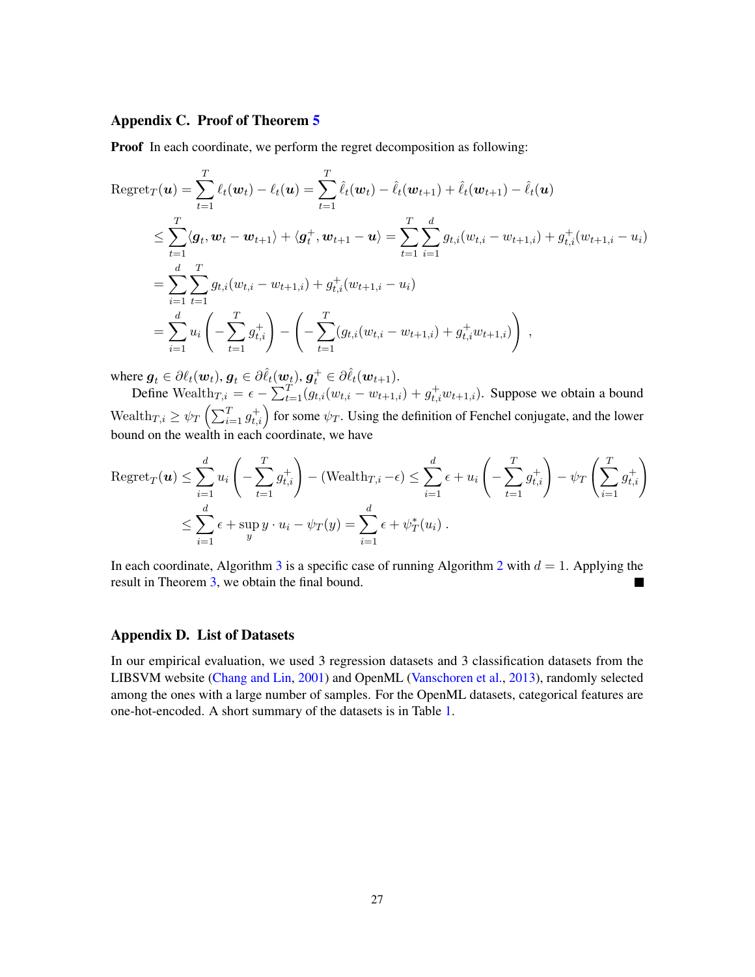# Appendix C. Proof of Theorem [5](#page-10-1)

**Proof** In each coordinate, we perform the regret decomposition as following:

$$
\begin{split} \text{Regret}_{T}(\boldsymbol{u}) &= \sum_{t=1}^{T} \ell_{t}(\boldsymbol{w}_{t}) - \ell_{t}(\boldsymbol{u}) = \sum_{t=1}^{T} \hat{\ell}_{t}(\boldsymbol{w}_{t}) - \hat{\ell}_{t}(\boldsymbol{w}_{t+1}) + \hat{\ell}_{t}(\boldsymbol{w}_{t+1}) - \hat{\ell}_{t}(\boldsymbol{u}) \\ &\leq \sum_{t=1}^{T} \langle \boldsymbol{g}_{t}, \boldsymbol{w}_{t} - \boldsymbol{w}_{t+1} \rangle + \langle \boldsymbol{g}_{t}^{+}, \boldsymbol{w}_{t+1} - \boldsymbol{u} \rangle = \sum_{t=1}^{T} \sum_{i=1}^{d} g_{t,i}(w_{t,i} - w_{t+1,i}) + g_{t,i}^{+}(w_{t+1,i} - u_{i}) \\ &= \sum_{i=1}^{d} \sum_{t=1}^{T} g_{t,i}(w_{t,i} - w_{t+1,i}) + g_{t,i}^{+}(w_{t+1,i} - u_{i}) \\ &= \sum_{i=1}^{d} u_{i} \left( - \sum_{t=1}^{T} g_{t,i}^{+} \right) - \left( - \sum_{t=1}^{T} (g_{t,i}(w_{t,i} - w_{t+1,i}) + g_{t,i}^{+} w_{t+1,i}) \right), \end{split}
$$

where  $\boldsymbol{g}_t \in \partial \ell_t(\boldsymbol{w}_t), \boldsymbol{g}_t \in \partial \hat{\ell}_t(\boldsymbol{w}_t), \boldsymbol{g}_t^+ \in \partial \hat{\ell}_t(\boldsymbol{w}_{t+1}).$ 

Define Wealth $T_{i,j} = \epsilon - \sum_{t=1}^{T} (g_{t,i}(w_{t,i} - w_{t+1,i}) + g_{t,i}^+ w_{t+1,i})$ . Suppose we obtain a bound Wealth $T_{i} \ge \psi_T \left( \sum_{i=1}^T g^+_{t,i} \right)$  for some  $\psi_T$ . Using the definition of Fenchel conjugate, and the lower bound on the wealth in each coordinate, we have

$$
\begin{aligned} \operatorname{Regret}_{T}(\boldsymbol{u}) &\leq \sum_{i=1}^{d} u_{i} \left( -\sum_{t=1}^{T} g_{t,i}^{+} \right) - (\text{Weakh}_{T,i} - \epsilon) \leq \sum_{i=1}^{d} \epsilon + u_{i} \left( -\sum_{t=1}^{T} g_{t,i}^{+} \right) - \psi_{T} \left( \sum_{i=1}^{T} g_{t,i}^{+} \right) \\ &\leq \sum_{i=1}^{d} \epsilon + \sup_{y} y \cdot u_{i} - \psi_{T}(y) = \sum_{i=1}^{d} \epsilon + \psi_{T}^{*}(u_{i}) \,. \end{aligned}
$$

In each coordinate, Algorithm [3](#page-10-2) is a specific case of running Algorithm [2](#page-8-1) with  $d = 1$ . Applying the result in Theorem [3,](#page-8-2) we obtain the final bound.

### Appendix D. List of Datasets

<span id="page-26-0"></span>In our empirical evaluation, we used 3 regression datasets and 3 classification datasets from the LIBSVM website [\(Chang and Lin,](#page-13-12) [2001\)](#page-13-12) and OpenML [\(Vanschoren et al.,](#page-15-12) [2013\)](#page-15-12), randomly selected among the ones with a large number of samples. For the OpenML datasets, categorical features are one-hot-encoded. A short summary of the datasets is in Table [1.](#page-27-0)